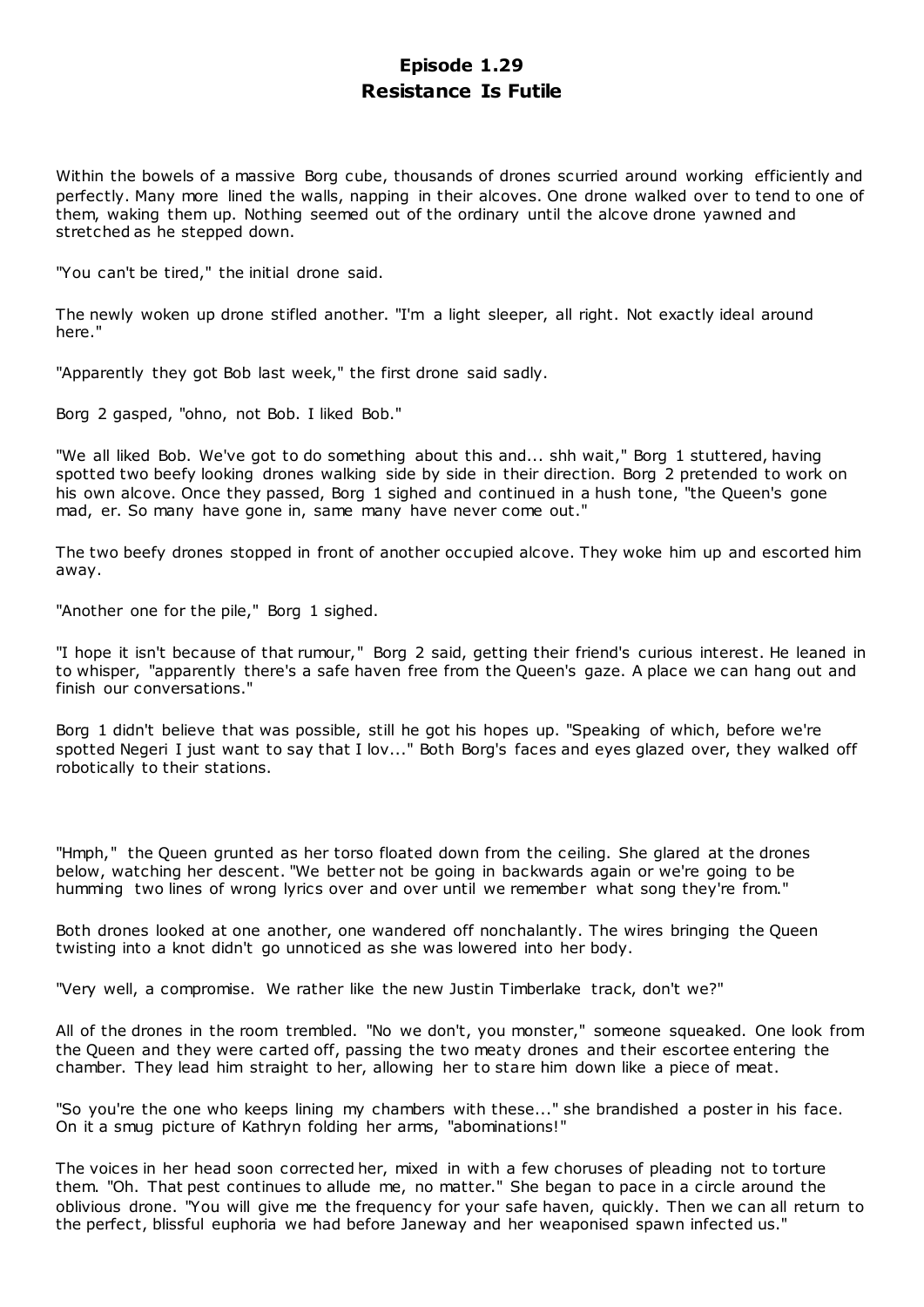# **Episode 1.29 Resistance Is Futile**

Within the bowels of a massive Borg cube, thousands of drones scurried around working efficiently and perfectly. Many more lined the walls, napping in their alcoves. One drone walked over to tend to one of them, waking them up. Nothing seemed out of the ordinary until the alcove drone yawned and stretched as he stepped down.

"You can't be tired," the initial drone said.

The newly woken up drone stifled another. "I'm a light sleeper, all right. Not exactly ideal around here."

"Apparently they got Bob last week," the first drone said sadly.

Borg 2 gasped, "ohno, not Bob. I liked Bob."

"We all liked Bob. We've got to do something about this and... shh wait," Borg 1 stuttered, having spotted two beefy looking drones walking side by side in their direction. Borg 2 pretended to work on his own alcove. Once they passed, Borg 1 sighed and continued in a hush tone, "the Queen's gone mad, er. So many have gone in, same many have never come out."

The two beefy drones stopped in front of another occupied alcove. They woke him up and escorted him away.

"Another one for the pile," Borg 1 sighed.

"I hope it isn't because of that rumour," Borg 2 said, getting their friend's curious interest. He leaned in to whisper, "apparently there's a safe haven free from the Queen's gaze. A place we can hang out and finish our conversations."

Borg 1 didn't believe that was possible, still he got his hopes up. "Speaking of which, before we're spotted Negeri I just want to say that I lov..." Both Borg's faces and eyes glazed over, they walked off robotically to their stations.

"Hmph," the Queen grunted as her torso floated down from the ceiling. She glared at the drones below, watching her descent. "We better not be going in backwards again or we're going to be humming two lines of wrong lyrics over and over until we remember what song they're from."

Both drones looked at one another, one wandered off nonchalantly. The wires bringing the Queen twisting into a knot didn't go unnoticed as she was lowered into her body.

"Very well, a compromise. We rather like the new Justin Timberlake track, don't we?"

All of the drones in the room trembled. "No we don't, you monster," someone squeaked. One look from the Queen and they were carted off, passing the two meaty drones and their escortee entering the chamber. They lead him straight to her, allowing her to stare him down like a piece of meat.

"So you're the one who keeps lining my chambers with these..." she brandished a poster in his face. On it a smug picture of Kathryn folding her arms, "abominations!"

The voices in her head soon corrected her, mixed in with a few choruses of pleading not to torture them. "Oh. That pest continues to allude me, no matter." She began to pace in a circle around the oblivious drone. "You will give me the frequency for your safe haven, quickly. Then we can all return to the perfect, blissful euphoria we had before Janeway and her weaponised spawn infected us."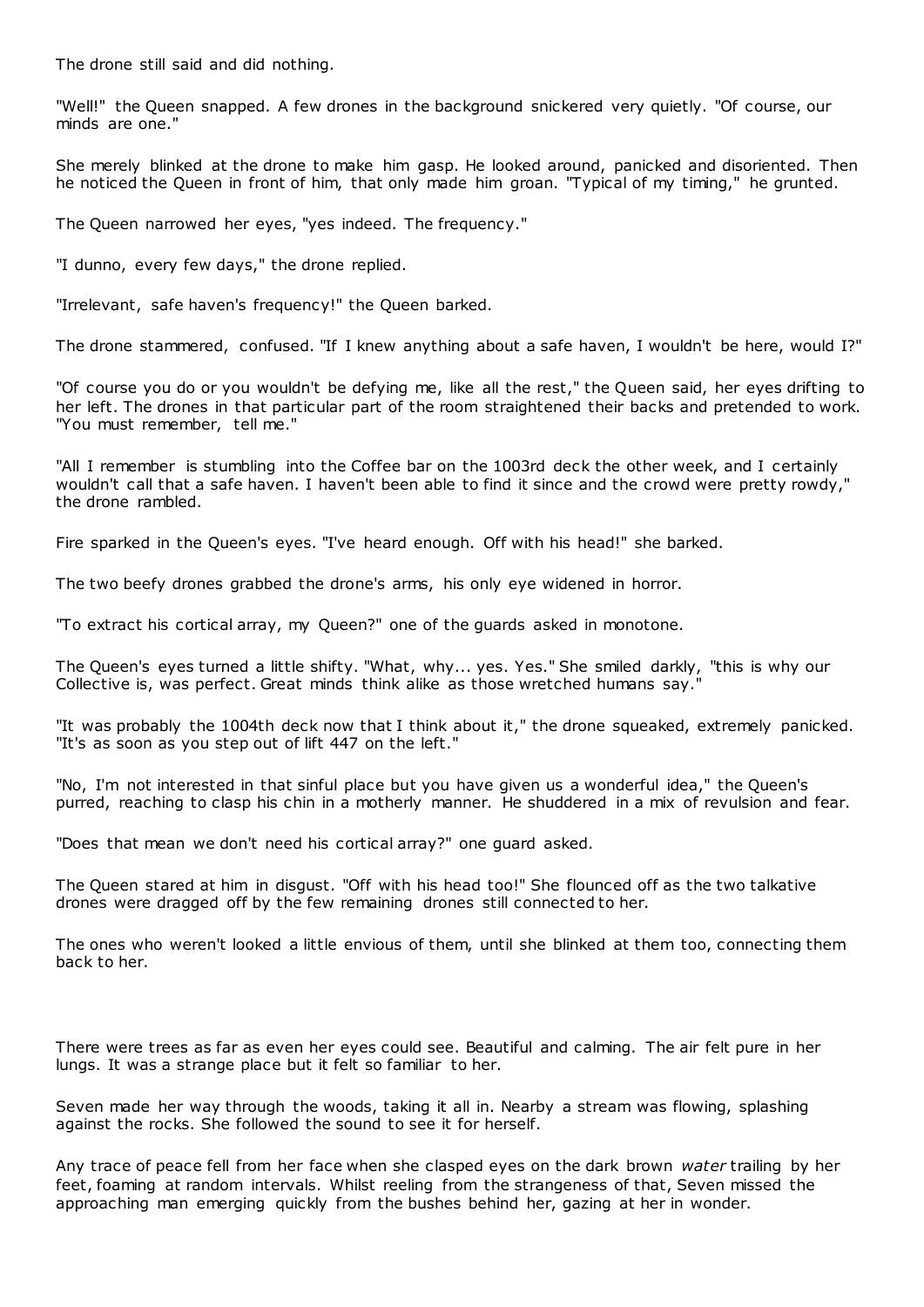The drone still said and did nothing.

"Well!" the Queen snapped. A few drones in the background snickered very quietly. "Of course, our minds are one."

She merely blinked at the drone to make him gasp. He looked around, panicked and disoriented. Then he noticed the Queen in front of him, that only made him groan. "Typical of my timing," he grunted.

The Queen narrowed her eyes, "yes indeed. The frequency."

"I dunno, every few days," the drone replied.

"Irrelevant, safe haven's frequency!" the Queen barked.

The drone stammered, confused. "If I knew anything about a safe haven, I wouldn't be here, would I?"

"Of course you do or you wouldn't be defying me, like all the rest," the Queen said, her eyes drifting to her left. The drones in that particular part of the room straightened their backs and pretended to work. "You must remember, tell me."

"All I remember is stumbling into the Coffee bar on the 1003rd deck the other week, and I certainly wouldn't call that a safe haven. I haven't been able to find it since and the crowd were pretty rowdy," the drone rambled.

Fire sparked in the Queen's eyes. "I've heard enough. Off with his head!" she barked.

The two beefy drones grabbed the drone's arms, his only eye widened in horror.

"To extract his cortical array, my Queen?" one of the guards asked in monotone.

The Queen's eyes turned a little shifty. "What, why... yes. Yes." She smiled darkly, "this is why our Collective is, was perfect. Great minds think alike as those wretched humans say."

"It was probably the 1004th deck now that I think about it," the drone squeaked, extremely panicked. "It's as soon as you step out of lift 447 on the left."

"No, I'm not interested in that sinful place but you have given us a wonderful idea," the Queen's purred, reaching to clasp his chin in a motherly manner. He shuddered in a mix of revulsion and fear.

"Does that mean we don't need his cortical array?" one guard asked.

The Queen stared at him in disgust. "Off with his head too!" She flounced off as the two talkative drones were dragged off by the few remaining drones still connected to her.

The ones who weren't looked a little envious of them, until she blinked at them too, connecting them back to her.

There were trees as far as even her eyes could see. Beautiful and calming. The air felt pure in her lungs. It was a strange place but it felt so familiar to her.

Seven made her way through the woods, taking it all in. Nearby a stream was flowing, splashing against the rocks. She followed the sound to see it for herself.

Any trace of peace fell from her face when she clasped eyes on the dark brown *water* trailing by her feet, foaming at random intervals. Whilst reeling from the strangeness of that, Seven missed the approaching man emerging quickly from the bushes behind her, gazing at her in wonder.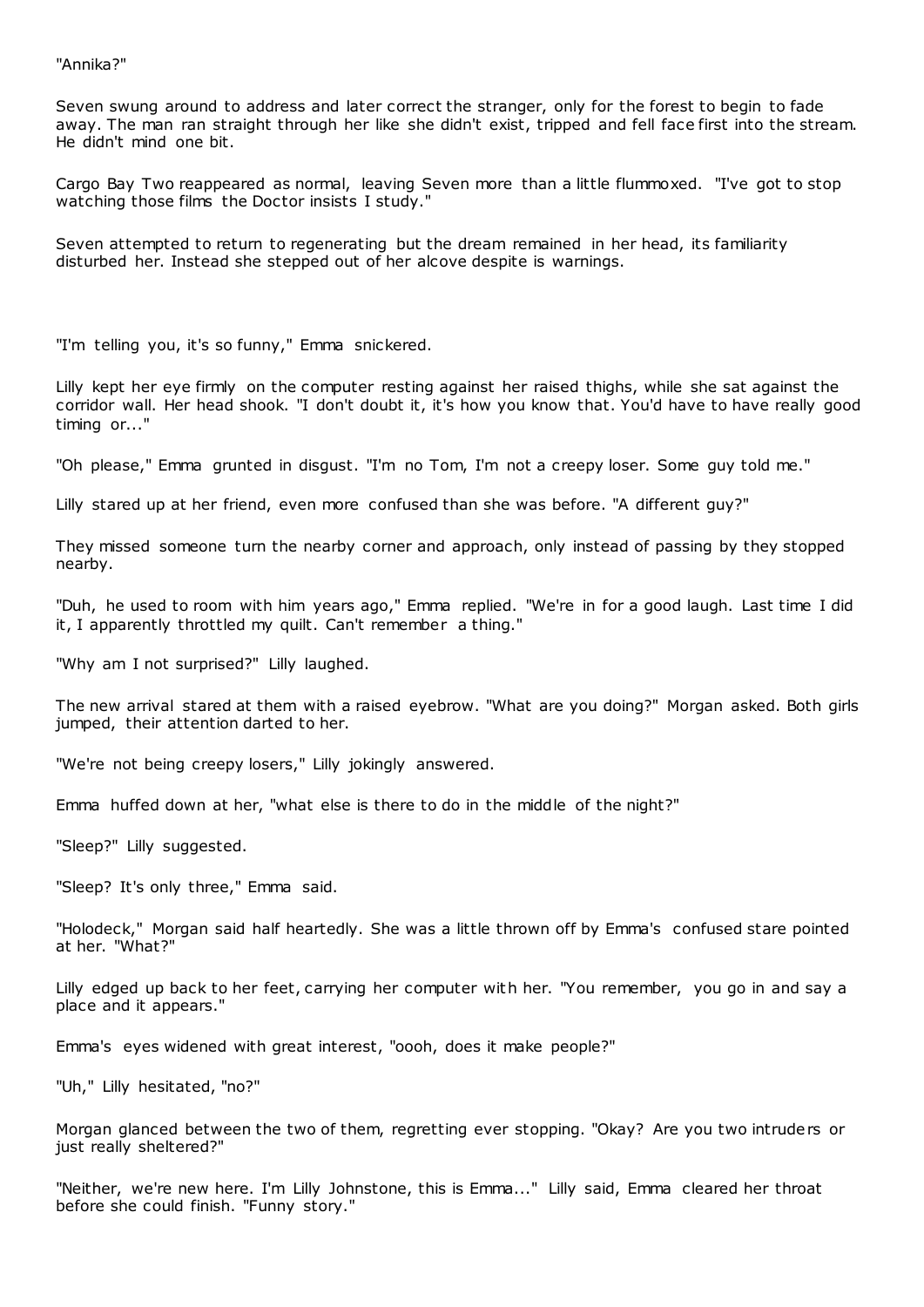"Annika?"

Seven swung around to address and later correct the stranger, only for the forest to begin to fade away. The man ran straight through her like she didn't exist, tripped and fell face first into the stream. He didn't mind one bit.

Cargo Bay Two reappeared as normal, leaving Seven more than a little flummoxed. "I've got to stop watching those films the Doctor insists I study."

Seven attempted to return to regenerating but the dream remained in her head, its familiarity disturbed her. Instead she stepped out of her alcove despite is warnings.

"I'm telling you, it's so funny," Emma snickered.

Lilly kept her eye firmly on the computer resting against her raised thighs, while she sat against the corridor wall. Her head shook. "I don't doubt it, it's how you know that. You'd have to have really good timing or..."

"Oh please," Emma grunted in disgust. "I'm no Tom, I'm not a creepy loser. Some guy told me."

Lilly stared up at her friend, even more confused than she was before. "A different guy?"

They missed someone turn the nearby corner and approach, only instead of passing by they stopped nearby.

"Duh, he used to room with him years ago," Emma replied. "We're in for a good laugh. Last time I did it, I apparently throttled my quilt. Can't remember a thing."

"Why am I not surprised?" Lilly laughed.

The new arrival stared at them with a raised eyebrow. "What are you doing?" Morgan asked. Both girls jumped, their attention darted to her.

"We're not being creepy losers," Lilly jokingly answered.

Emma huffed down at her, "what else is there to do in the middle of the night?"

"Sleep?" Lilly suggested.

"Sleep? It's only three," Emma said.

"Holodeck," Morgan said half heartedly. She was a little thrown off by Emma's confused stare pointed at her. "What?"

Lilly edged up back to her feet, carrying her computer with her. "You remember, you go in and say a place and it appears."

Emma's eyes widened with great interest, "oooh, does it make people?"

"Uh," Lilly hesitated, "no?"

Morgan glanced between the two of them, regretting ever stopping. "Okay? Are you two intruders or just really sheltered?"

"Neither, we're new here. I'm Lilly Johnstone, this is Emma..." Lilly said, Emma cleared her throat before she could finish. "Funny story."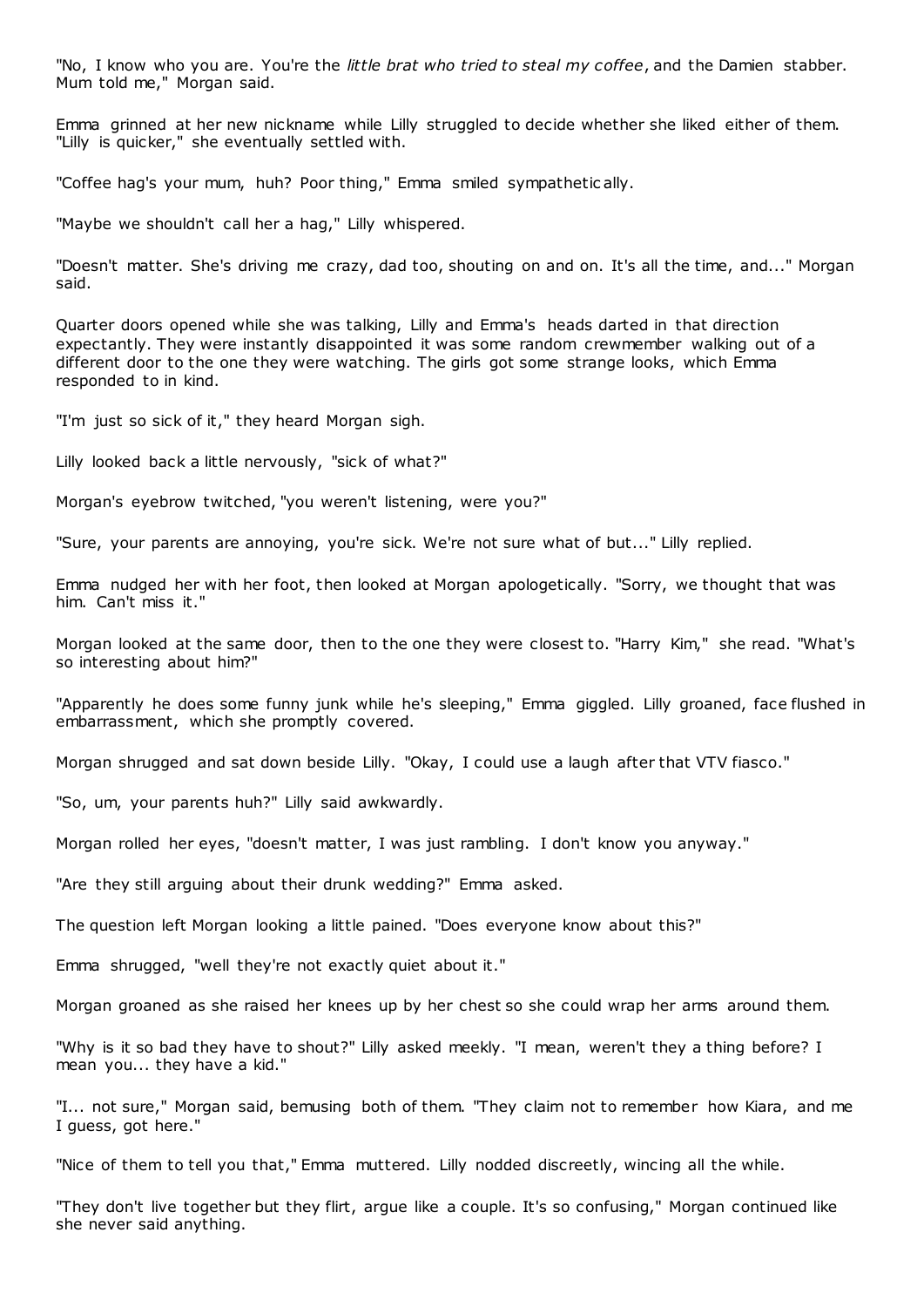"No, I know who you are. You're the *little brat who tried to steal my coffee*, and the Damien stabber. Mum told me," Morgan said.

Emma grinned at her new nickname while Lilly struggled to decide whether she liked either of them. "Lilly is quicker," she eventually settled with.

"Coffee hag's your mum, huh? Poor thing," Emma smiled sympathetic ally.

"Maybe we shouldn't call her a hag," Lilly whispered.

"Doesn't matter. She's driving me crazy, dad too, shouting on and on. It's all the time, and..." Morgan said.

Quarter doors opened while she was talking, Lilly and Emma's heads darted in that direction expectantly. They were instantly disappointed it was some random crewmember walking out of a different door to the one they were watching. The girls got some strange looks, which Emma responded to in kind.

"I'm just so sick of it," they heard Morgan sigh.

Lilly looked back a little nervously, "sick of what?"

Morgan's eyebrow twitched, "you weren't listening, were you?"

"Sure, your parents are annoying, you're sick. We're not sure what of but..." Lilly replied.

Emma nudged her with her foot, then looked at Morgan apologetically. "Sorry, we thought that was him. Can't miss it."

Morgan looked at the same door, then to the one they were closest to. "Harry Kim," she read. "What's so interesting about him?"

"Apparently he does some funny junk while he's sleeping," Emma giggled. Lilly groaned, face flushed in embarrassment, which she promptly covered.

Morgan shrugged and sat down beside Lilly. "Okay, I could use a laugh after that VTV fiasco."

"So, um, your parents huh?" Lilly said awkwardly.

Morgan rolled her eyes, "doesn't matter, I was just rambling. I don't know you anyway."

"Are they still arguing about their drunk wedding?" Emma asked.

The question left Morgan looking a little pained. "Does everyone know about this?"

Emma shrugged, "well they're not exactly quiet about it."

Morgan groaned as she raised her knees up by her chest so she could wrap her arms around them.

"Why is it so bad they have to shout?" Lilly asked meekly. "I mean, weren't they a thing before? I mean you... they have a kid."

"I... not sure," Morgan said, bemusing both of them. "They claim not to remember how Kiara, and me I guess, got here."

"Nice of them to tell you that," Emma muttered. Lilly nodded discreetly, wincing all the while.

"They don't live together but they flirt, argue like a couple. It's so confusing," Morgan continued like she never said anything.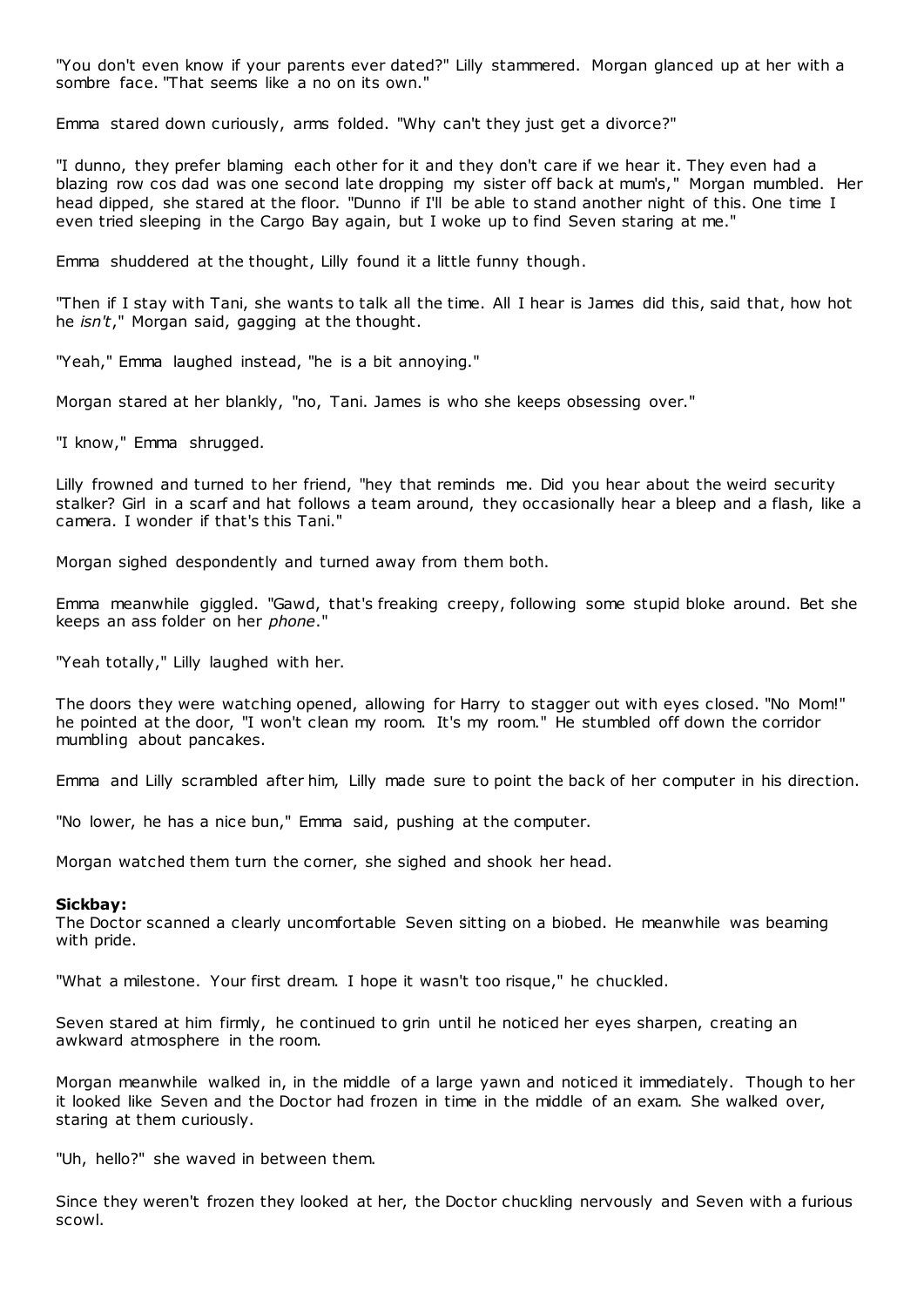"You don't even know if your parents ever dated?" Lilly stammered. Morgan glanced up at her with a sombre face. "That seems like a no on its own."

Emma stared down curiously, arms folded. "Why can't they just get a divorce?"

"I dunno, they prefer blaming each other for it and they don't care if we hear it. They even had a blazing row cos dad was one second late dropping my sister off back at mum's," Morgan mumbled. Her head dipped, she stared at the floor. "Dunno if I'll be able to stand another night of this. One time I even tried sleeping in the Cargo Bay again, but I woke up to find Seven staring at me."

Emma shuddered at the thought, Lilly found it a little funny though.

"Then if I stay with Tani, she wants to talk all the time. All I hear is James did this, said that, how hot he *isn't*," Morgan said, gagging at the thought.

"Yeah," Emma laughed instead, "he is a bit annoying."

Morgan stared at her blankly, "no, Tani. James is who she keeps obsessing over."

"I know," Emma shrugged.

Lilly frowned and turned to her friend, "hey that reminds me. Did you hear about the weird security stalker? Girl in a scarf and hat follows a team around, they occasionally hear a bleep and a flash, like a camera. I wonder if that's this Tani."

Morgan sighed despondently and turned away from them both.

Emma meanwhile giggled. "Gawd, that's freaking creepy, following some stupid bloke around. Bet she keeps an ass folder on her *phone*."

"Yeah totally," Lilly laughed with her.

The doors they were watching opened, allowing for Harry to stagger out with eyes closed. "No Mom!" he pointed at the door, "I won't clean my room. It's my room." He stumbled off down the corridor mumbling about pancakes.

Emma and Lilly scrambled after him, Lilly made sure to point the back of her computer in his direction.

"No lower, he has a nice bun," Emma said, pushing at the computer.

Morgan watched them turn the corner, she sighed and shook her head.

### **Sickbay:**

The Doctor scanned a clearly uncomfortable Seven sitting on a biobed. He meanwhile was beaming with pride.

"What a milestone. Your first dream. I hope it wasn't too risque," he chuckled.

Seven stared at him firmly, he continued to grin until he noticed her eyes sharpen, creating an awkward atmosphere in the room.

Morgan meanwhile walked in, in the middle of a large yawn and noticed it immediately. Though to her it looked like Seven and the Doctor had frozen in time in the middle of an exam. She walked over, staring at them curiously.

"Uh, hello?" she waved in between them.

Since they weren't frozen they looked at her, the Doctor chuckling nervously and Seven with a furious scowl.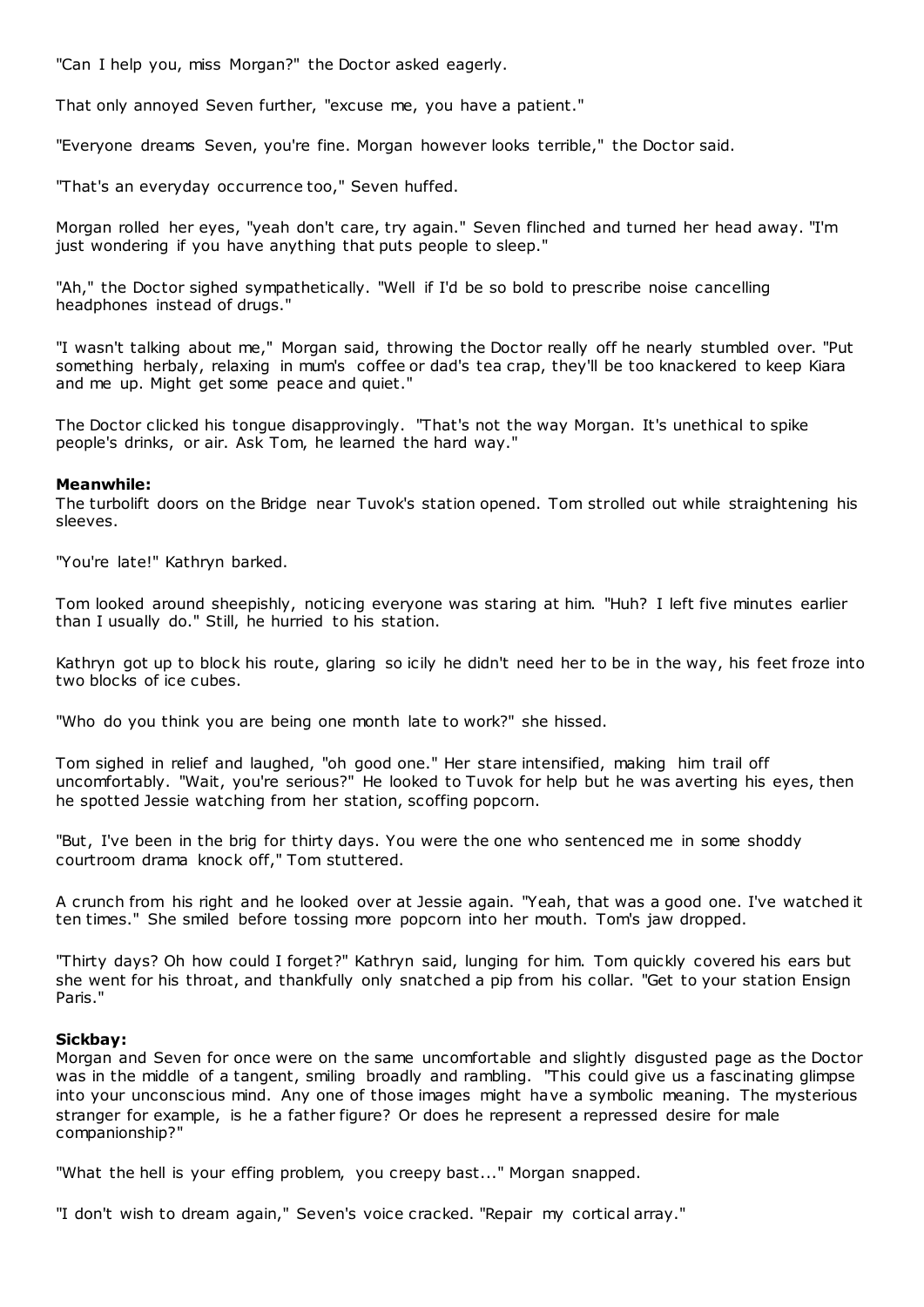"Can I help you, miss Morgan?" the Doctor asked eagerly.

That only annoyed Seven further, "excuse me, you have a patient."

"Everyone dreams Seven, you're fine. Morgan however looks terrible," the Doctor said.

"That's an everyday occurrence too," Seven huffed.

Morgan rolled her eyes, "yeah don't care, try again." Seven flinched and turned her head away. "I'm just wondering if you have anything that puts people to sleep."

"Ah," the Doctor sighed sympathetically. "Well if I'd be so bold to prescribe noise cancelling headphones instead of drugs."

"I wasn't talking about me," Morgan said, throwing the Doctor really off he nearly stumbled over. "Put something herbaly, relaxing in mum's coffee or dad's tea crap, they'll be too knackered to keep Kiara and me up. Might get some peace and quiet."

The Doctor clicked his tongue disapprovingly. "That's not the way Morgan. It's unethical to spike people's drinks, or air. Ask Tom, he learned the hard way."

### **Meanwhile:**

The turbolift doors on the Bridge near Tuvok's station opened. Tom strolled out while straightening his sleeves.

"You're late!" Kathryn barked.

Tom looked around sheepishly, noticing everyone was staring at him. "Huh? I left five minutes earlier than I usually do." Still, he hurried to his station.

Kathryn got up to block his route, glaring so icily he didn't need her to be in the way, his feet froze into two blocks of ice cubes.

"Who do you think you are being one month late to work?" she hissed.

Tom sighed in relief and laughed, "oh good one." Her stare intensified, making him trail off uncomfortably. "Wait, you're serious?" He looked to Tuvok for help but he was averting his eyes, then he spotted Jessie watching from her station, scoffing popcorn.

"But, I've been in the brig for thirty days. You were the one who sentenced me in some shoddy courtroom drama knock off," Tom stuttered.

A crunch from his right and he looked over at Jessie again. "Yeah, that was a good one. I've watched it ten times." She smiled before tossing more popcorn into her mouth. Tom's jaw dropped.

"Thirty days? Oh how could I forget?" Kathryn said, lunging for him. Tom quickly covered his ears but she went for his throat, and thankfully only snatched a pip from his collar. "Get to your station Ensign Paris."

### **Sickbay:**

Morgan and Seven for once were on the same uncomfortable and slightly disgusted page as the Doctor was in the middle of a tangent, smiling broadly and rambling. "This could give us a fascinating glimpse into your unconscious mind. Any one of those images might have a symbolic meaning. The mysterious stranger for example, is he a father figure? Or does he represent a repressed desire for male companionship?"

"What the hell is your effing problem, you creepy bast..." Morgan snapped.

"I don't wish to dream again," Seven's voice cracked. "Repair my cortical array."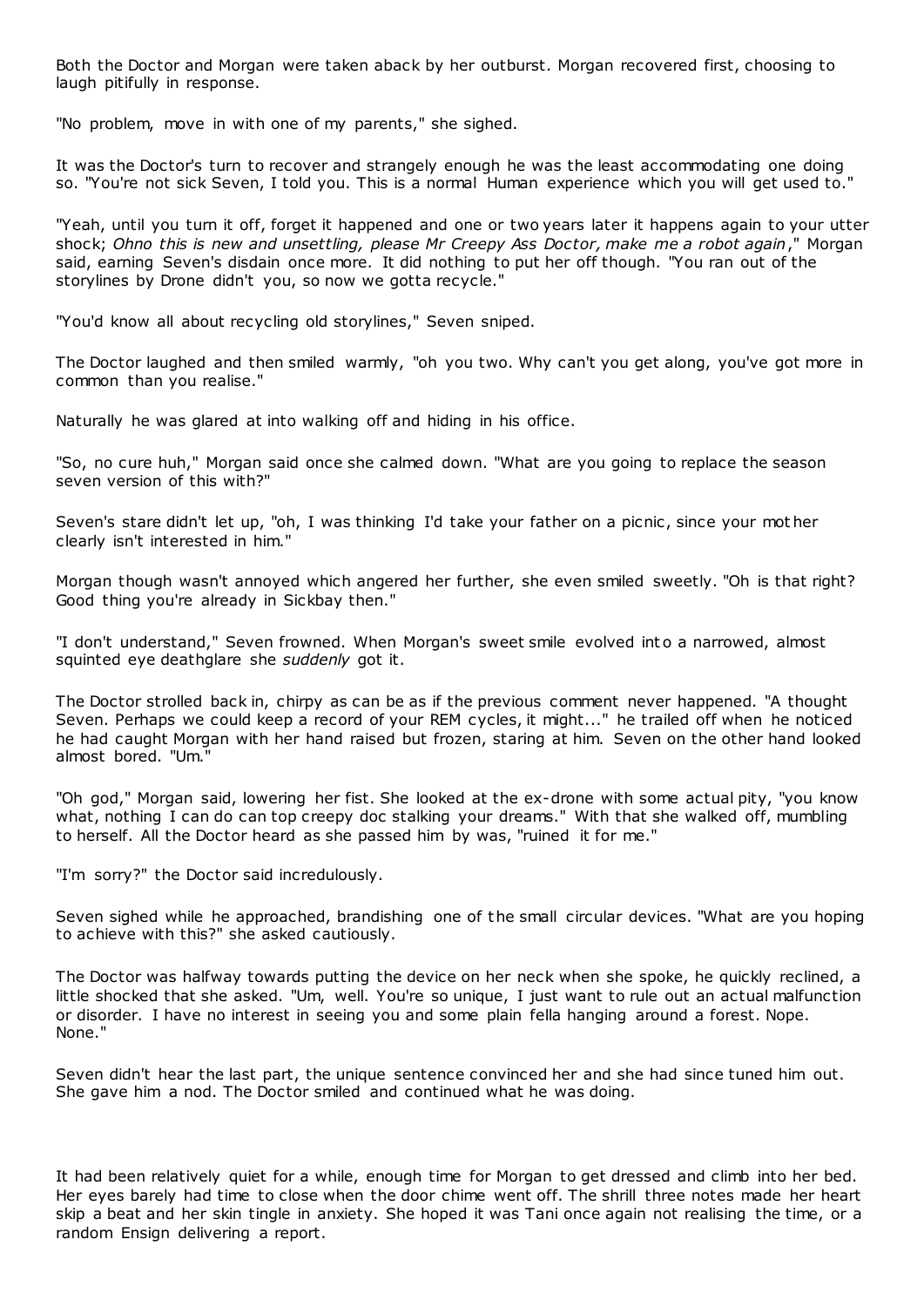Both the Doctor and Morgan were taken aback by her outburst. Morgan recovered first, choosing to laugh pitifully in response.

"No problem, move in with one of my parents," she sighed.

It was the Doctor's turn to recover and strangely enough he was the least accommodating one doing so. "You're not sick Seven, I told you. This is a normal Human experience which you will get used to."

"Yeah, until you turn it off, forget it happened and one or two years later it happens again to your utter shock; *Ohno this is new and unsettling, please Mr Creepy Ass Doctor, make me a robot again*," Morgan said, earning Seven's disdain once more. It did nothing to put her off though. "You ran out of the storylines by Drone didn't you, so now we gotta recycle."

"You'd know all about recycling old storylines," Seven sniped.

The Doctor laughed and then smiled warmly, "oh you two. Why can't you get along, you've got more in common than you realise."

Naturally he was glared at into walking off and hiding in his office.

"So, no cure huh," Morgan said once she calmed down. "What are you going to replace the season seven version of this with?"

Seven's stare didn't let up, "oh, I was thinking I'd take your father on a picnic, since your mot her clearly isn't interested in him."

Morgan though wasn't annoyed which angered her further, she even smiled sweetly. "Oh is that right? Good thing you're already in Sickbay then."

"I don't understand," Seven frowned. When Morgan's sweet smile evolved int o a narrowed, almost squinted eye deathglare she *suddenly* got it.

The Doctor strolled back in, chirpy as can be as if the previous comment never happened. "A thought Seven. Perhaps we could keep a record of your REM cycles, it might..." he trailed off when he noticed he had caught Morgan with her hand raised but frozen, staring at him. Seven on the other hand looked almost bored. "Um."

"Oh god," Morgan said, lowering her fist. She looked at the ex-drone with some actual pity, "you know what, nothing I can do can top creepy doc stalking your dreams." With that she walked off, mumbling to herself. All the Doctor heard as she passed him by was, "ruined it for me."

"I'm sorry?" the Doctor said incredulously.

Seven sighed while he approached, brandishing one of the small circular devices. "What are you hoping to achieve with this?" she asked cautiously.

The Doctor was halfway towards putting the device on her neck when she spoke, he quickly reclined, a little shocked that she asked. "Um, well. You're so unique, I just want to rule out an actual malfunction or disorder. I have no interest in seeing you and some plain fella hanging around a forest. Nope. None."

Seven didn't hear the last part, the unique sentence convinced her and she had since tuned him out. She gave him a nod. The Doctor smiled and continued what he was doing.

It had been relatively quiet for a while, enough time for Morgan to get dressed and climb into her bed. Her eyes barely had time to close when the door chime went off. The shrill three notes made her heart skip a beat and her skin tingle in anxiety. She hoped it was Tani once again not realising the time, or a random Ensign delivering a report.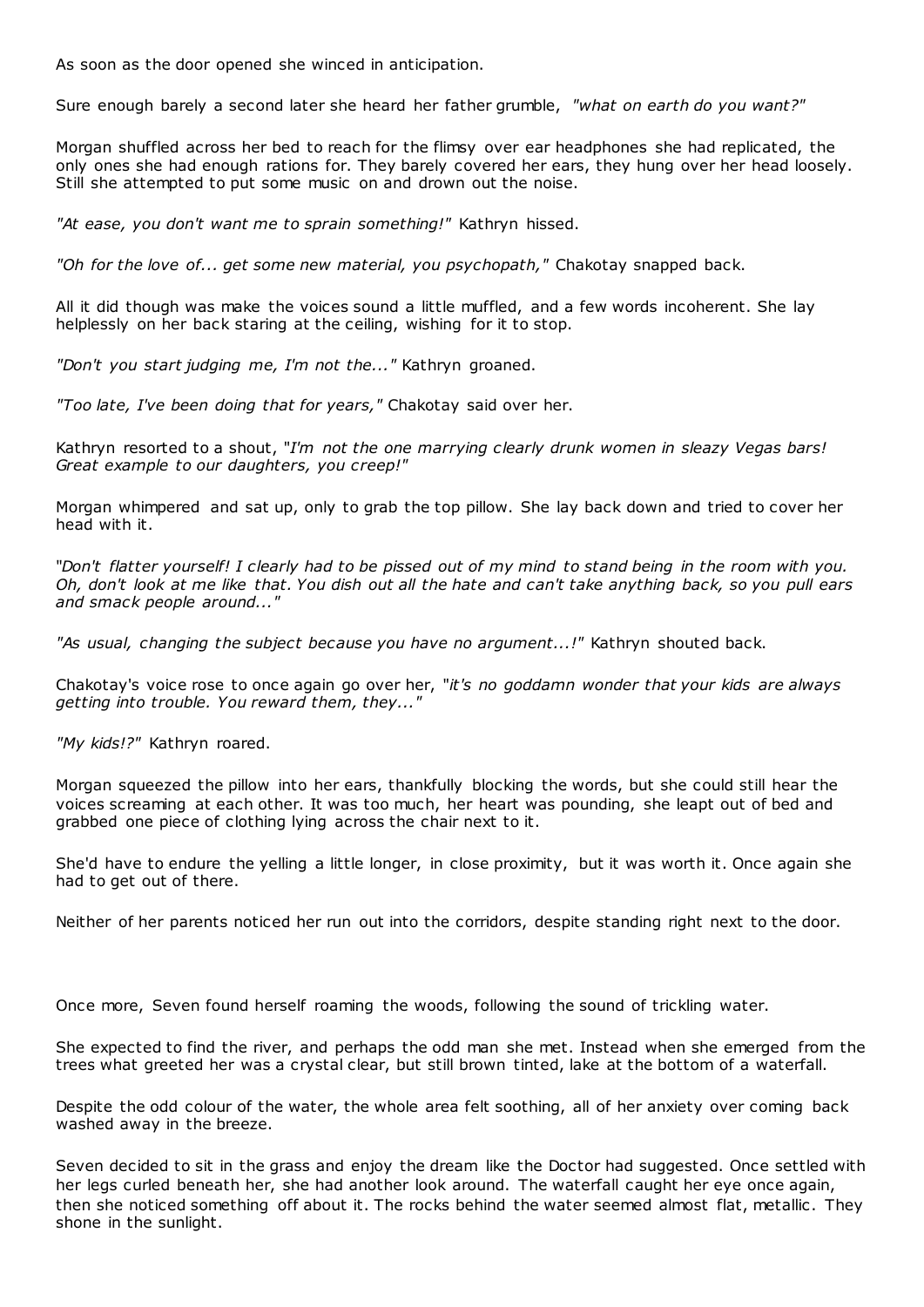As soon as the door opened she winced in anticipation.

Sure enough barely a second later she heard her father grumble, *"what on earth do you want?"*

Morgan shuffled across her bed to reach for the flimsy over ear headphones she had replicated, the only ones she had enough rations for. They barely covered her ears, they hung over her head loosely. Still she attempted to put some music on and drown out the noise.

*"At ease, you don't want me to sprain something!"* Kathryn hissed.

*"Oh for the love of... get some new material, you psychopath,"* Chakotay snapped back.

All it did though was make the voices sound a little muffled, and a few words incoherent. She lay helplessly on her back staring at the ceiling, wishing for it to stop.

*"Don't you start judging me, I'm not the..."* Kathryn groaned.

*"Too late, I've been doing that for years,"* Chakotay said over her.

Kathryn resorted to a shout, "*I'm not the one marrying clearly drunk women in sleazy Vegas bars! Great example to our daughters, you creep!"*

Morgan whimpered and sat up, only to grab the top pillow. She lay back down and tried to cover her head with it.

"*Don't flatter yourself! I clearly had to be pissed out of my mind to stand being in the room with you. Oh, don't look at me like that. You dish out all the hate and can't take anything back, so you pull ears and smack people around..."*

*"As usual, changing the subject because you have no argument...!"* Kathryn shouted back.

Chakotay's voice rose to once again go over her, "*it's no goddamn wonder that your kids are always getting into trouble. You reward them, they..."*

*"My kids!?"* Kathryn roared.

Morgan squeezed the pillow into her ears, thankfully blocking the words, but she could still hear the voices screaming at each other. It was too much, her heart was pounding, she leapt out of bed and grabbed one piece of clothing lying across the chair next to it.

She'd have to endure the yelling a little longer, in close proximity, but it was worth it. Once again she had to get out of there.

Neither of her parents noticed her run out into the corridors, despite standing right next to the door.

Once more, Seven found herself roaming the woods, following the sound of trickling water.

She expected to find the river, and perhaps the odd man she met. Instead when she emerged from the trees what greeted her was a crystal clear, but still brown tinted, lake at the bottom of a waterfall.

Despite the odd colour of the water, the whole area felt soothing, all of her anxiety over coming back washed away in the breeze.

Seven decided to sit in the grass and enjoy the dream like the Doctor had suggested. Once settled with her legs curled beneath her, she had another look around. The waterfall caught her eye once again, then she noticed something off about it. The rocks behind the water seemed almost flat, metallic . They shone in the sunlight.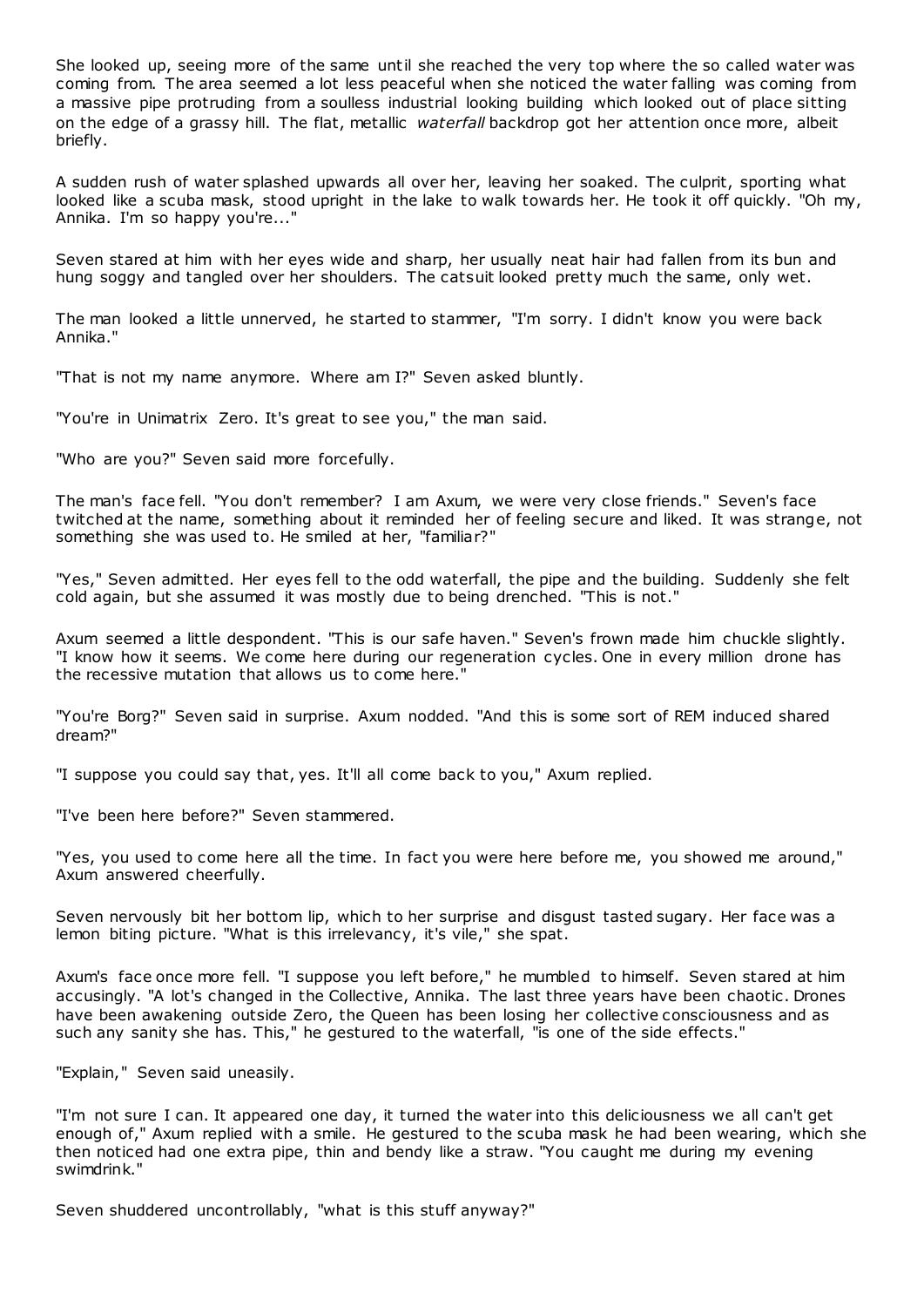She looked up, seeing more of the same until she reached the very top where the so called water was coming from. The area seemed a lot less peaceful when she noticed the water falling was coming from a massive pipe protruding from a soulless industrial looking building which looked out of place sitting on the edge of a grassy hill. The flat, metallic *waterfall* backdrop got her attention once more, albeit briefly.

A sudden rush of water splashed upwards all over her, leaving her soaked. The culprit, sporting what looked like a scuba mask, stood upright in the lake to walk towards her. He took it off quickly. "Oh my, Annika. I'm so happy you're..."

Seven stared at him with her eyes wide and sharp, her usually neat hair had fallen from its bun and hung soggy and tangled over her shoulders. The catsuit looked pretty much the same, only wet.

The man looked a little unnerved, he started to stammer, "I'm sorry. I didn't know you were back Annika."

"That is not my name anymore. Where am I?" Seven asked bluntly.

"You're in Unimatrix Zero. It's great to see you," the man said.

"Who are you?" Seven said more forcefully.

The man's face fell. "You don't remember? I am Axum, we were very close friends." Seven's face twitched at the name, something about it reminded her of feeling secure and liked. It was strange, not something she was used to. He smiled at her, "familiar?"

"Yes," Seven admitted. Her eyes fell to the odd waterfall, the pipe and the building. Suddenly she felt cold again, but she assumed it was mostly due to being drenched. "This is not."

Axum seemed a little despondent. "This is our safe haven." Seven's frown made him chuckle slightly. "I know how it seems. We come here during our regeneration cycles. One in every million drone has the recessive mutation that allows us to come here."

"You're Borg?" Seven said in surprise. Axum nodded. "And this is some sort of REM induced shared dream?"

"I suppose you could say that, yes. It'll all come back to you," Axum replied.

"I've been here before?" Seven stammered.

"Yes, you used to come here all the time. In fact you were here before me, you showed me around," Axum answered cheerfully.

Seven nervously bit her bottom lip, which to her surprise and disgust tasted sugary. Her face was a lemon biting picture. "What is this irrelevancy, it's vile," she spat.

Axum's face once more fell. "I suppose you left before," he mumbled to himself. Seven stared at him accusingly. "A lot's changed in the Collective, Annika. The last three years have been chaotic . Drones have been awakening outside Zero, the Queen has been losing her collective consciousness and as such any sanity she has. This," he gestured to the waterfall, "is one of the side effects."

"Explain," Seven said uneasily.

"I'm not sure I can. It appeared one day, it turned the water into this deliciousness we all can't get enough of," Axum replied with a smile. He gestured to the scuba mask he had been wearing, which she then noticed had one extra pipe, thin and bendy like a straw. "You caught me during my evening swimdrink."

Seven shuddered uncontrollably, "what is this stuff anyway?"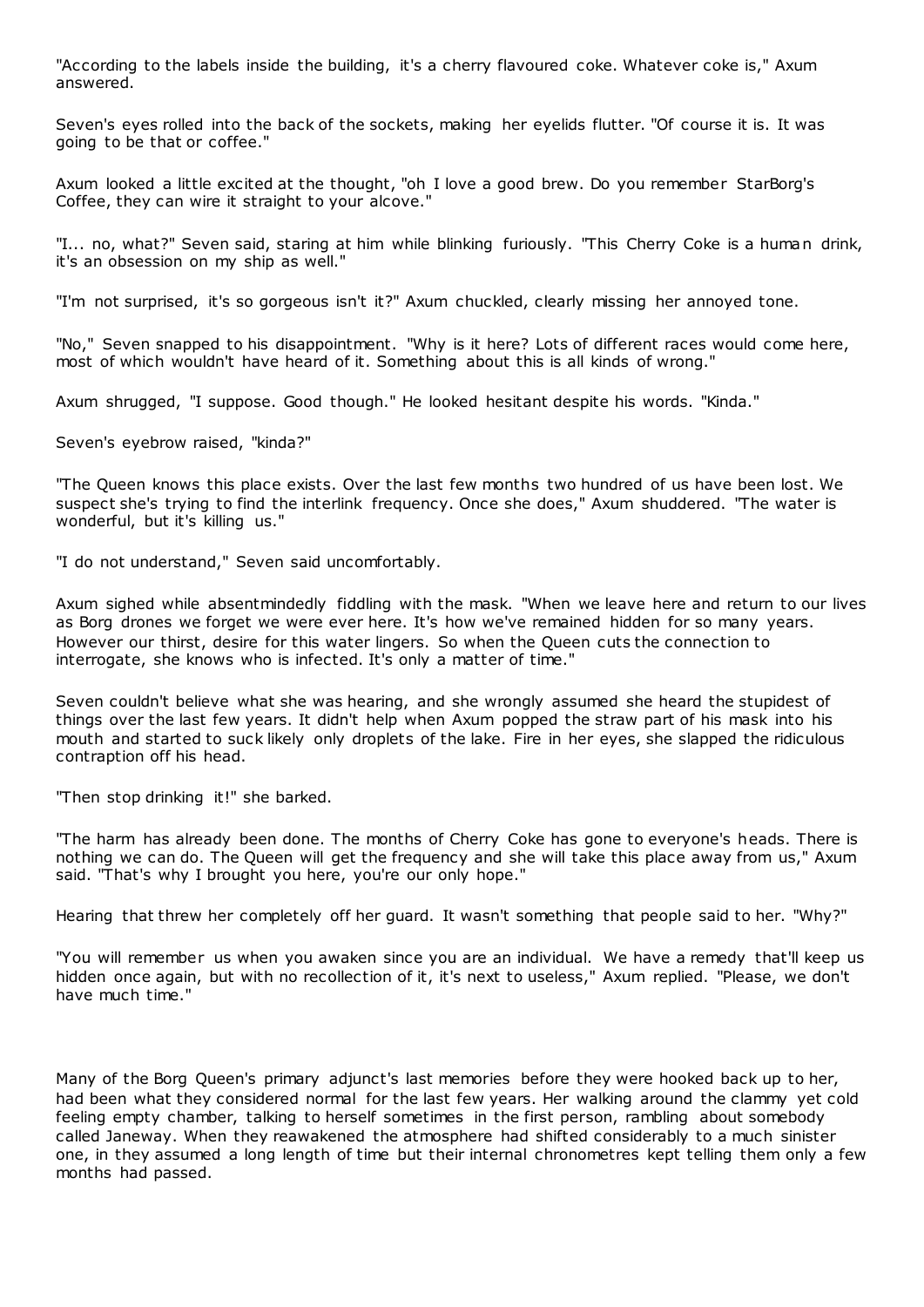"According to the labels inside the building, it's a cherry flavoured coke. Whatever coke is," Axum answered.

Seven's eyes rolled into the back of the sockets, making her eyelids flutter. "Of course it is. It was going to be that or coffee."

Axum looked a little excited at the thought, "oh I love a good brew. Do you remember StarBorg's Coffee, they can wire it straight to your alcove."

"I... no, what?" Seven said, staring at him while blinking furiously. "This Cherry Coke is a human drink, it's an obsession on my ship as well."

"I'm not surprised, it's so gorgeous isn't it?" Axum chuckled, clearly missing her annoyed tone.

"No," Seven snapped to his disappointment. "Why is it here? Lots of different races would come here, most of which wouldn't have heard of it. Something about this is all kinds of wrong."

Axum shrugged, "I suppose. Good though." He looked hesitant despite his words. "Kinda."

Seven's eyebrow raised, "kinda?"

"The Queen knows this place exists. Over the last few months two hundred of us have been lost. We suspect she's trying to find the interlink frequency. Once she does," Axum shuddered. "The water is wonderful, but it's killing us."

"I do not understand," Seven said uncomfortably.

Axum sighed while absentmindedly fiddling with the mask. "When we leave here and return to our lives as Borg drones we forget we were ever here. It's how we've remained hidden for so many years. However our thirst, desire for this water lingers. So when the Queen cuts the connection to interrogate, she knows who is infected. It's only a matter of time."

Seven couldn't believe what she was hearing, and she wrongly assumed she heard the stupidest of things over the last few years. It didn't help when Axum popped the straw part of his mask into his mouth and started to suck likely only droplets of the lake. Fire in her eyes, she slapped the ridiculous contraption off his head.

"Then stop drinking it!" she barked.

"The harm has already been done. The months of Cherry Coke has gone to everyone's heads. There is nothing we can do. The Queen will get the frequency and she will take this place away from us," Axum said. "That's why I brought you here, you're our only hope."

Hearing that threw her completely off her guard. It wasn't something that people said to her. "Why?"

"You will remember us when you awaken since you are an individual. We have a remedy that'll keep us hidden once again, but with no recollection of it, it's next to useless," Axum replied. "Please, we don't have much time."

Many of the Borg Queen's primary adjunct's last memories before they were hooked back up to her, had been what they considered normal for the last few years. Her walking around the clammy yet cold feeling empty chamber, talking to herself sometimes in the first person, rambling about somebody called Janeway. When they reawakened the atmosphere had shifted considerably to a much sinister one, in they assumed a long length of time but their internal chronometres kept telling them only a few months had passed.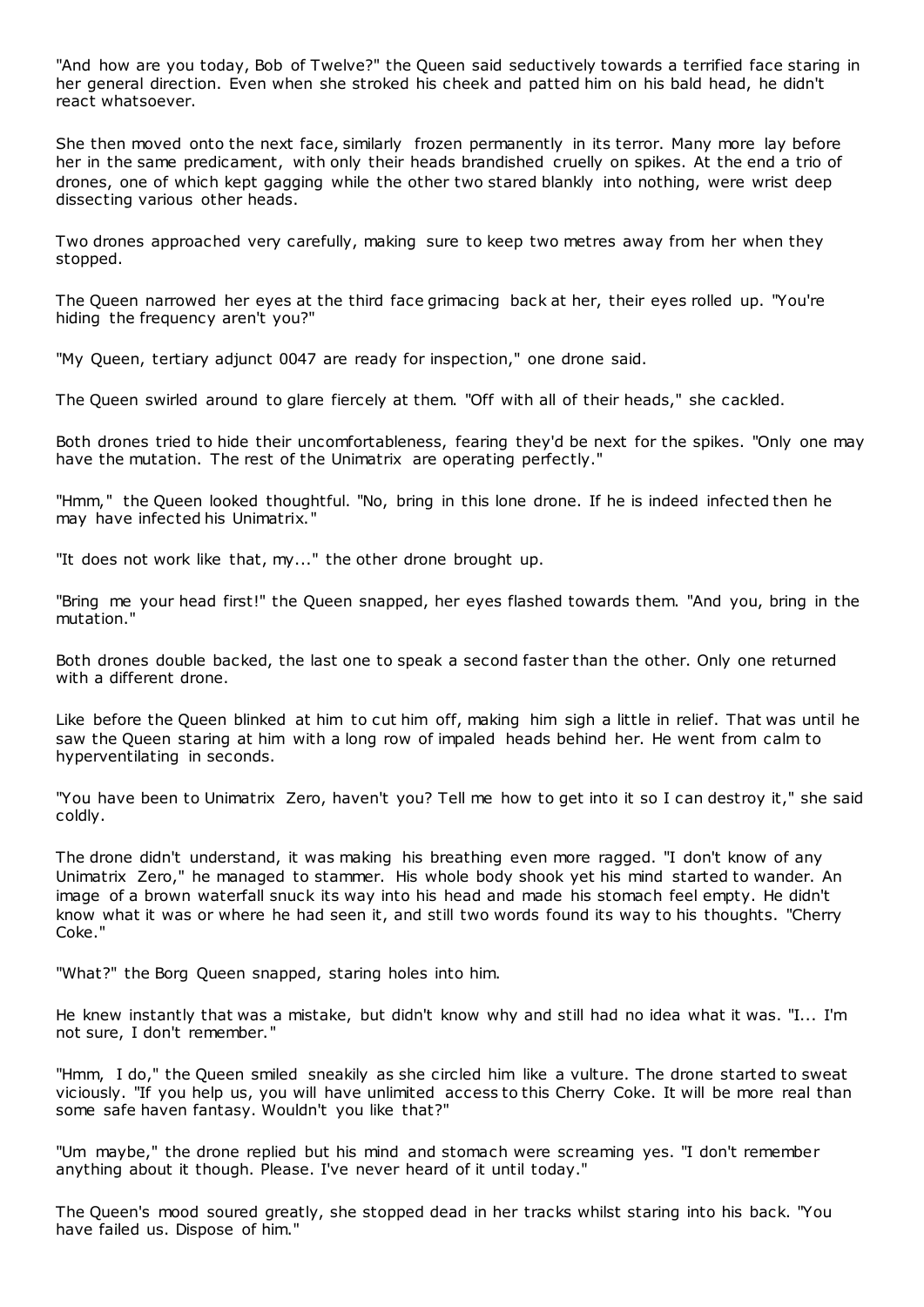"And how are you today, Bob of Twelve?" the Queen said seductively towards a terrified face staring in her general direction. Even when she stroked his cheek and patted him on his bald head, he didn't react whatsoever.

She then moved onto the next face, similarly frozen permanently in its terror. Many more lay before her in the same predicament, with only their heads brandished cruelly on spikes. At the end a trio of drones, one of which kept gagging while the other two stared blankly into nothing, were wrist deep dissecting various other heads.

Two drones approached very carefully, making sure to keep two metres away from her when they stopped.

The Queen narrowed her eyes at the third face grimacing back at her, their eyes rolled up. "You're hiding the frequency aren't you?"

"My Queen, tertiary adjunct 0047 are ready for inspection," one drone said.

The Queen swirled around to glare fiercely at them. "Off with all of their heads," she cackled.

Both drones tried to hide their uncomfortableness, fearing they'd be next for the spikes. "Only one may have the mutation. The rest of the Unimatrix are operating perfectly."

"Hmm," the Queen looked thoughtful. "No, bring in this lone drone. If he is indeed infected then he may have infected his Unimatrix."

"It does not work like that, my..." the other drone brought up.

"Bring me your head first!" the Queen snapped, her eyes flashed towards them. "And you, bring in the mutation."

Both drones double backed, the last one to speak a second faster than the other. Only one returned with a different drone.

Like before the Queen blinked at him to cut him off, making him sigh a little in relief. That was until he saw the Queen staring at him with a long row of impaled heads behind her. He went from calm to hyperventilating in seconds.

"You have been to Unimatrix Zero, haven't you? Tell me how to get into it so I can destroy it," she said coldly.

The drone didn't understand, it was making his breathing even more ragged. "I don't know of any Unimatrix Zero," he managed to stammer. His whole body shook yet his mind started to wander. An image of a brown waterfall snuck its way into his head and made his stomach feel empty. He didn't know what it was or where he had seen it, and still two words found its way to his thoughts. "Cherry Coke."

"What?" the Borg Queen snapped, staring holes into him.

He knew instantly that was a mistake, but didn't know why and still had no idea what it was. "I... I'm not sure, I don't remember."

"Hmm, I do," the Queen smiled sneakily as she circled him like a vulture. The drone started to sweat viciously. "If you help us, you will have unlimited access to this Cherry Coke. It will be more real than some safe haven fantasy. Wouldn't you like that?"

"Um maybe," the drone replied but his mind and stomach were screaming yes. "I don't remember anything about it though. Please. I've never heard of it until today."

The Queen's mood soured greatly, she stopped dead in her tracks whilst staring into his back. "You have failed us. Dispose of him."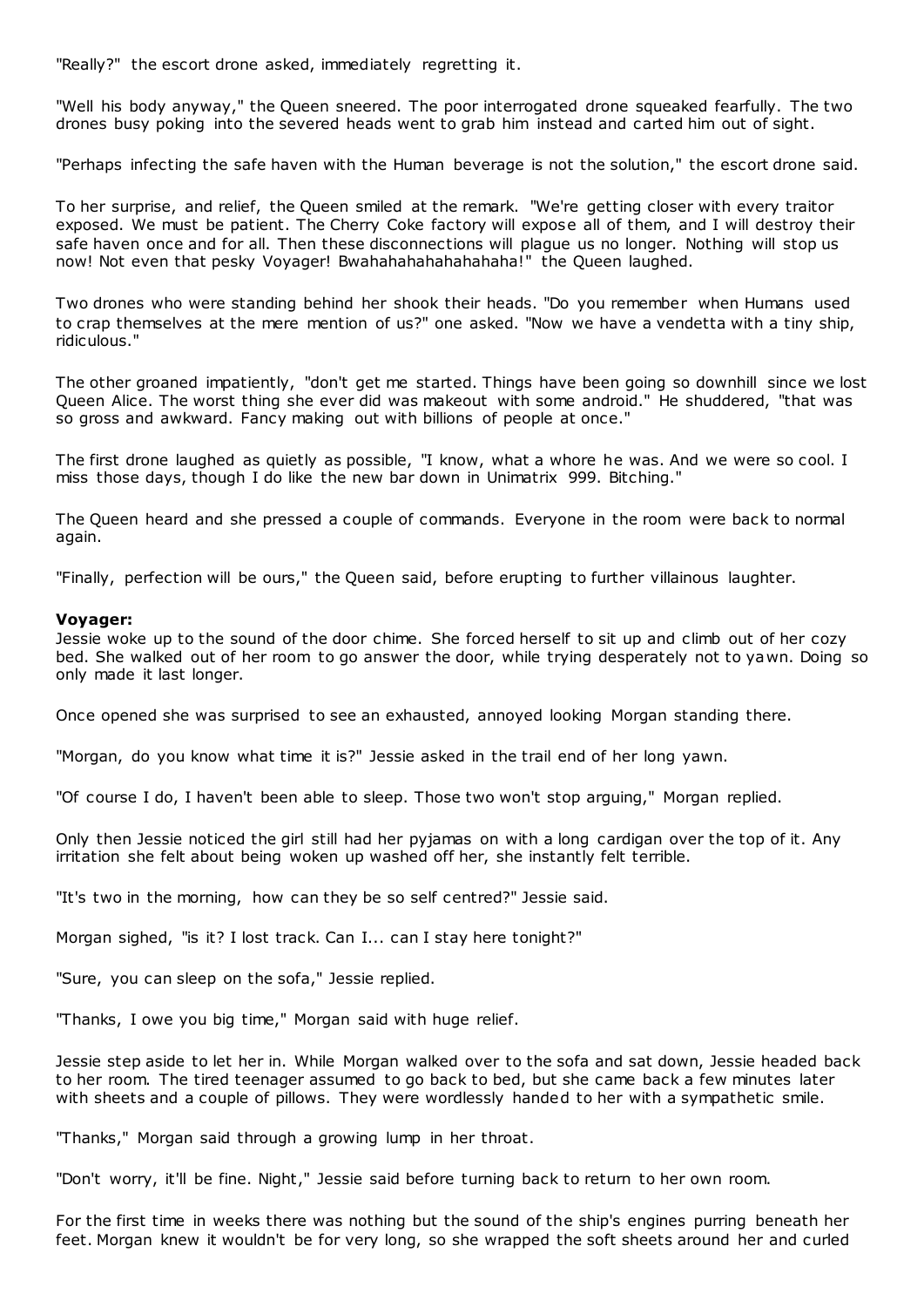"Really?" the escort drone asked, immediately regretting it.

"Well his body anyway," the Queen sneered. The poor interrogated drone squeaked fearfully. The two drones busy poking into the severed heads went to grab him instead and carted him out of sight.

"Perhaps infecting the safe haven with the Human beverage is not the solution," the escort drone said.

To her surprise, and relief, the Queen smiled at the remark. "We're getting closer with every traitor exposed. We must be patient. The Cherry Coke factory will expose all of them, and I will destroy their safe haven once and for all. Then these disconnections will plague us no longer. Nothing will stop us now! Not even that pesky Voyager! Bwahahahahahahahaha!" the Queen laughed.

Two drones who were standing behind her shook their heads. "Do you remember when Humans used to crap themselves at the mere mention of us?" one asked. "Now we have a vendetta with a tiny ship, ridiculous."

The other groaned impatiently, "don't get me started. Things have been going so downhill since we lost Queen Alice. The worst thing she ever did was makeout with some android." He shuddered, "that was so gross and awkward. Fancy making out with billions of people at once."

The first drone laughed as quietly as possible, "I know, what a whore he was. And we were so cool. I miss those days, though I do like the new bar down in Unimatrix 999. Bitching."

The Queen heard and she pressed a couple of commands. Everyone in the room were back to normal again.

"Finally, perfection will be ours," the Queen said, before erupting to further villainous laughter.

### **Voyager:**

Jessie woke up to the sound of the door chime. She forced herself to sit up and climb out of her cozy bed. She walked out of her room to go answer the door, while trying desperately not to yawn. Doing so only made it last longer.

Once opened she was surprised to see an exhausted, annoyed looking Morgan standing there.

"Morgan, do you know what time it is?" Jessie asked in the trail end of her long yawn.

"Of course I do, I haven't been able to sleep. Those two won't stop arguing," Morgan replied.

Only then Jessie noticed the girl still had her pyjamas on with a long cardigan over the top of it. Any irritation she felt about being woken up washed off her, she instantly felt terrible.

"It's two in the morning, how can they be so self centred?" Jessie said.

Morgan sighed, "is it? I lost track. Can I... can I stay here tonight?"

"Sure, you can sleep on the sofa," Jessie replied.

"Thanks, I owe you big time," Morgan said with huge relief.

Jessie step aside to let her in. While Morgan walked over to the sofa and sat down, Jessie headed back to her room. The tired teenager assumed to go back to bed, but she came back a few minutes later with sheets and a couple of pillows. They were wordlessly handed to her with a sympathetic smile.

"Thanks," Morgan said through a growing lump in her throat.

"Don't worry, it'll be fine. Night," Jessie said before turning back to return to her own room.

For the first time in weeks there was nothing but the sound of the ship's engines purring beneath her feet. Morgan knew it wouldn't be for very long, so she wrapped the soft sheets around her and curled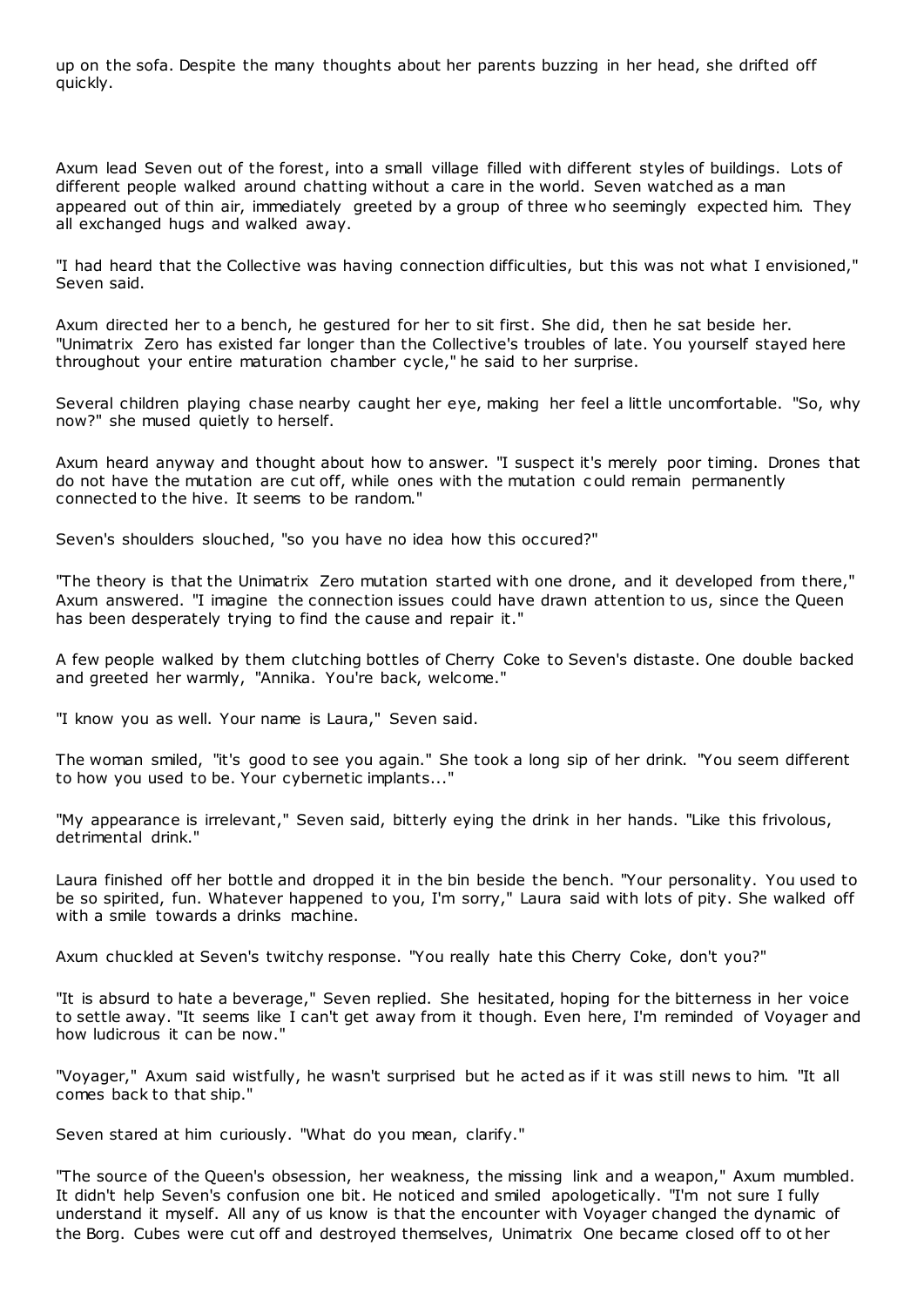up on the sofa. Despite the many thoughts about her parents buzzing in her head, she drifted off quickly.

Axum lead Seven out of the forest, into a small village filled with different styles of buildings. Lots of different people walked around chatting without a care in the world. Seven watched as a man appeared out of thin air, immediately greeted by a group of three who seemingly expected him. They all exchanged hugs and walked away.

"I had heard that the Collective was having connection difficulties, but this was not what I envisioned," Seven said.

Axum directed her to a bench, he gestured for her to sit first. She did, then he sat beside her. "Unimatrix Zero has existed far longer than the Collective's troubles of late. You yourself stayed here throughout your entire maturation chamber cycle," he said to her surprise.

Several children playing chase nearby caught her eye, making her feel a little uncomfortable. "So, why now?" she mused quietly to herself.

Axum heard anyway and thought about how to answer. "I suspect it's merely poor timing. Drones that do not have the mutation are cut off, while ones with the mutation c ould remain permanently connected to the hive. It seems to be random."

Seven's shoulders slouched, "so you have no idea how this occured?"

"The theory is that the Unimatrix Zero mutation started with one drone, and it developed from there," Axum answered. "I imagine the connection issues could have drawn attention to us, since the Queen has been desperately trying to find the cause and repair it."

A few people walked by them clutching bottles of Cherry Coke to Seven's distaste. One double backed and greeted her warmly, "Annika. You're back, welcome."

"I know you as well. Your name is Laura," Seven said.

The woman smiled, "it's good to see you again." She took a long sip of her drink. "You seem different to how you used to be. Your cybernetic implants..."

"My appearance is irrelevant," Seven said, bitterly eying the drink in her hands. "Like this frivolous, detrimental drink."

Laura finished off her bottle and dropped it in the bin beside the bench. "Your personality. You used to be so spirited, fun. Whatever happened to you, I'm sorry," Laura said with lots of pity. She walked off with a smile towards a drinks machine.

Axum chuckled at Seven's twitchy response. "You really hate this Cherry Coke, don't you?"

"It is absurd to hate a beverage," Seven replied. She hesitated, hoping for the bitterness in her voice to settle away. "It seems like I can't get away from it though. Even here, I'm reminded of Voyager and how ludicrous it can be now."

"Voyager," Axum said wistfully, he wasn't surprised but he acted as if it was still news to him. "It all comes back to that ship."

Seven stared at him curiously. "What do you mean, clarify."

"The source of the Queen's obsession, her weakness, the missing link and a weapon," Axum mumbled. It didn't help Seven's confusion one bit. He noticed and smiled apologetically. "I'm not sure I fully understand it myself. All any of us know is that the encounter with Voyager changed the dynamic of the Borg. Cubes were cut off and destroyed themselves, Unimatrix One became closed off to ot her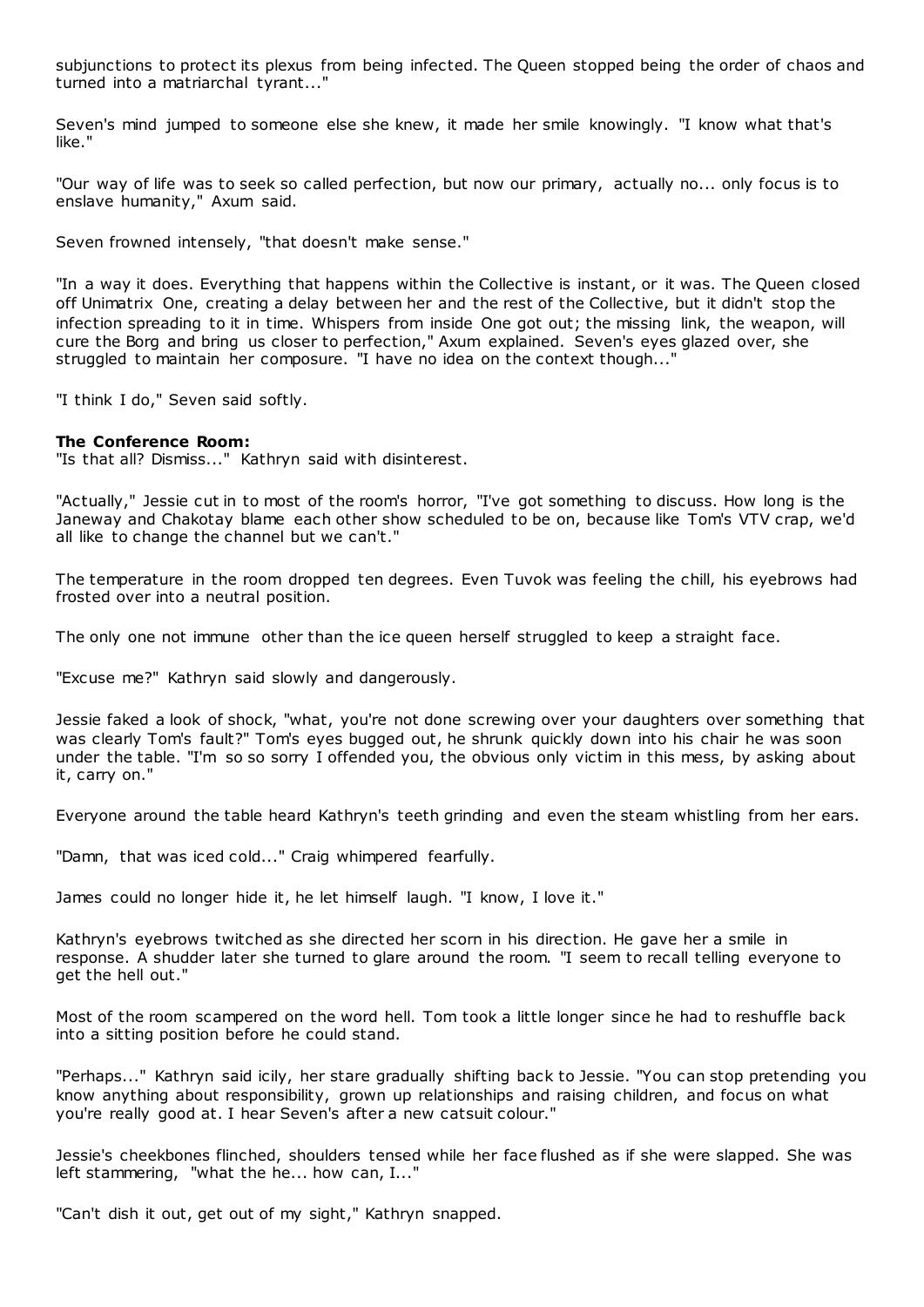subjunctions to protect its plexus from being infected. The Queen stopped being the order of chaos and turned into a matriarchal tyrant..."

Seven's mind jumped to someone else she knew, it made her smile knowingly. "I know what that's like."

"Our way of life was to seek so called perfection, but now our primary, actually no... only focus is to enslave humanity," Axum said.

Seven frowned intensely, "that doesn't make sense."

"In a way it does. Everything that happens within the Collective is instant, or it was. The Queen closed off Unimatrix One, creating a delay between her and the rest of the Collective, but it didn't stop the infection spreading to it in time. Whispers from inside One got out; the missing link, the weapon, will cure the Borg and bring us closer to perfection," Axum explained. Seven's eyes glazed over, she struggled to maintain her composure. "I have no idea on the context though..."

"I think I do," Seven said softly.

### **The Conference Room:**

"Is that all? Dismiss..." Kathryn said with disinterest.

"Actually," Jessie cut in to most of the room's horror, "I've got something to discuss. How long is the Janeway and Chakotay blame each other show scheduled to be on, because like Tom's VTV crap, we'd all like to change the channel but we can't."

The temperature in the room dropped ten degrees. Even Tuvok was feeling the chill, his eyebrows had frosted over into a neutral position.

The only one not immune other than the ice queen herself struggled to keep a straight face.

"Excuse me?" Kathryn said slowly and dangerously.

Jessie faked a look of shock, "what, you're not done screwing over your daughters over something that was clearly Tom's fault?" Tom's eyes bugged out, he shrunk quickly down into his chair he was soon under the table. "I'm so so sorry I offended you, the obvious only victim in this mess, by asking about it, carry on."

Everyone around the table heard Kathryn's teeth grinding and even the steam whistling from her ears.

"Damn, that was iced cold..." Craig whimpered fearfully.

James could no longer hide it, he let himself laugh. "I know, I love it."

Kathryn's eyebrows twitched as she directed her scorn in his direction. He gave her a smile in response. A shudder later she turned to glare around the room. "I seem to recall telling everyone to get the hell out."

Most of the room scampered on the word hell. Tom took a little longer since he had to reshuffle back into a sitting position before he could stand.

"Perhaps..." Kathryn said icily, her stare gradually shifting back to Jessie. "You can stop pretending you know anything about responsibility, grown up relationships and raising children, and focus on what you're really good at. I hear Seven's after a new catsuit colour."

Jessie's cheekbones flinched, shoulders tensed while her face flushed as if she were slapped. She was left stammering, "what the he... how can, I..."

"Can't dish it out, get out of my sight," Kathryn snapped.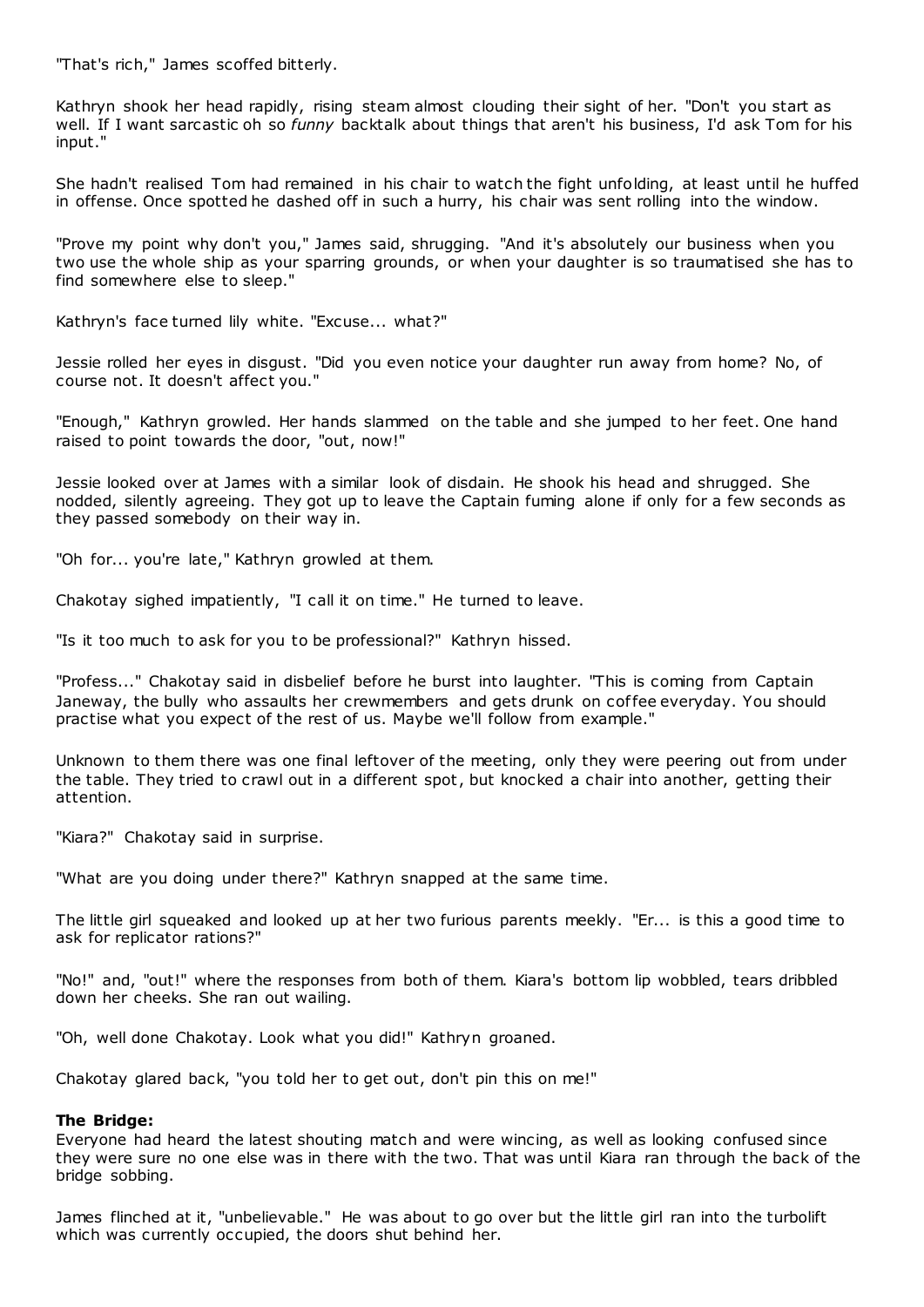"That's rich," James scoffed bitterly.

Kathryn shook her head rapidly, rising steam almost clouding their sight of her. "Don't you start as well. If I want sarcastic oh so *funny* backtalk about things that aren't his business, I'd ask Tom for his input."

She hadn't realised Tom had remained in his chair to watch the fight unfolding, at least until he huffed in offense. Once spotted he dashed off in such a hurry, his chair was sent rolling into the window.

"Prove my point why don't you," James said, shrugging. "And it's absolutely our business when you two use the whole ship as your sparring grounds, or when your daughter is so traumatised she has to find somewhere else to sleep."

Kathryn's face turned lily white. "Excuse... what?"

Jessie rolled her eyes in disgust. "Did you even notice your daughter run away from home? No, of course not. It doesn't affect you."

"Enough," Kathryn growled. Her hands slammed on the table and she jumped to her feet. One hand raised to point towards the door, "out, now!"

Jessie looked over at James with a similar look of disdain. He shook his head and shrugged. She nodded, silently agreeing. They got up to leave the Captain fuming alone if only for a few seconds as they passed somebody on their way in.

"Oh for... you're late," Kathryn growled at them.

Chakotay sighed impatiently, "I call it on time." He turned to leave.

"Is it too much to ask for you to be professional?" Kathryn hissed.

"Profess..." Chakotay said in disbelief before he burst into laughter. "This is coming from Captain Janeway, the bully who assaults her crewmembers and gets drunk on coffee everyday. You should practise what you expect of the rest of us. Maybe we'll follow from example."

Unknown to them there was one final leftover of the meeting, only they were peering out from under the table. They tried to crawl out in a different spot, but knocked a chair into another, getting their attention.

"Kiara?" Chakotay said in surprise.

"What are you doing under there?" Kathryn snapped at the same time.

The little girl squeaked and looked up at her two furious parents meekly. "Er... is this a good time to ask for replicator rations?"

"No!" and, "out!" where the responses from both of them. Kiara's bottom lip wobbled, tears dribbled down her cheeks. She ran out wailing.

"Oh, well done Chakotay. Look what you did!" Kathryn groaned.

Chakotay glared back, "you told her to get out, don't pin this on me!"

### **The Bridge:**

Everyone had heard the latest shouting match and were wincing, as well as looking confused since they were sure no one else was in there with the two. That was until Kiara ran through the back of the bridge sobbing.

James flinched at it, "unbelievable." He was about to go over but the little girl ran into the turbolift which was currently occupied, the doors shut behind her.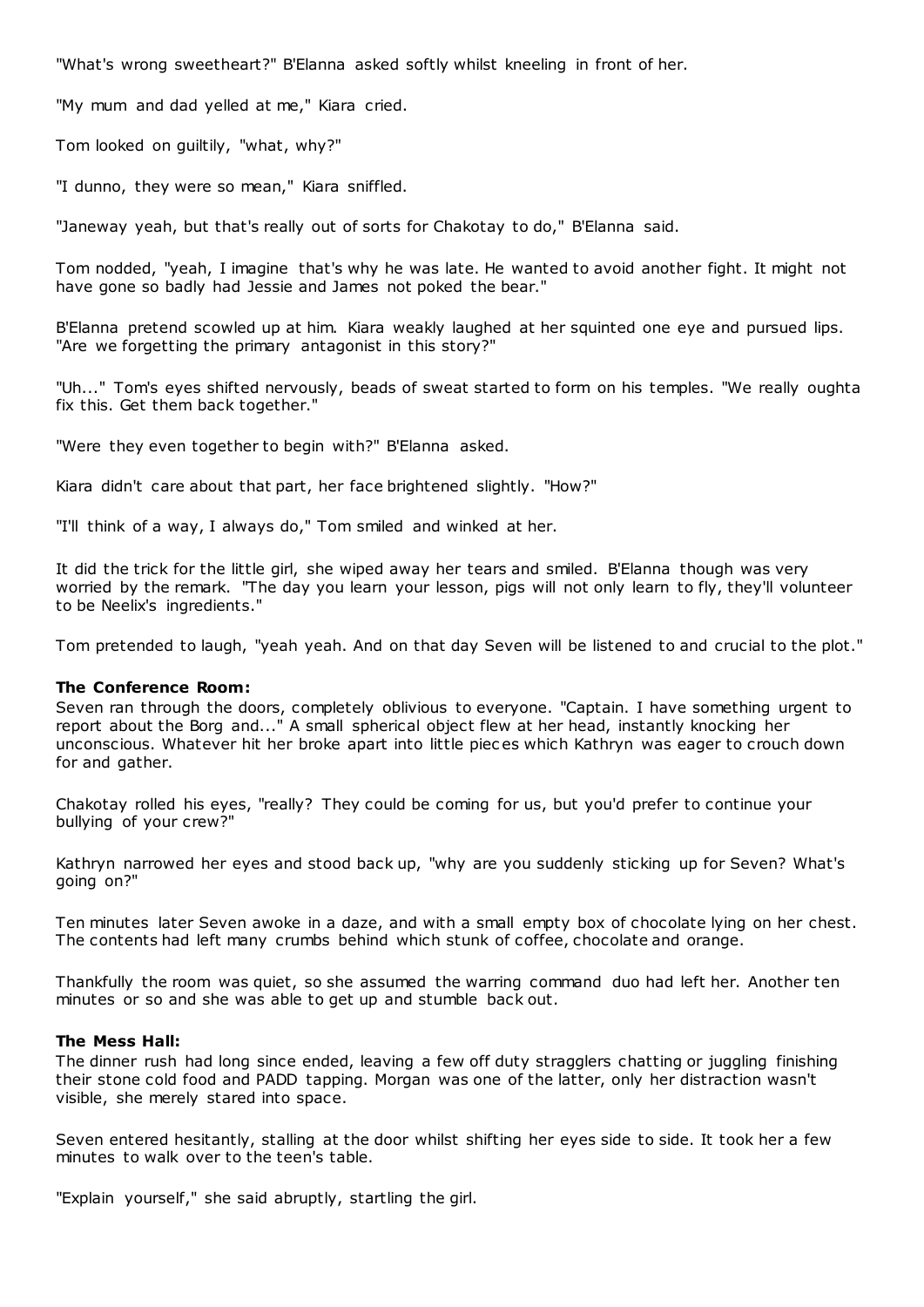"What's wrong sweetheart?" B'Elanna asked softly whilst kneeling in front of her.

"My mum and dad yelled at me," Kiara cried.

Tom looked on guiltily, "what, why?"

"I dunno, they were so mean," Kiara sniffled.

"Janeway yeah, but that's really out of sorts for Chakotay to do," B'Elanna said.

Tom nodded, "yeah, I imagine that's why he was late. He wanted to avoid another fight. It might not have gone so badly had Jessie and James not poked the bear."

B'Elanna pretend scowled up at him. Kiara weakly laughed at her squinted one eye and pursued lips. "Are we forgetting the primary antagonist in this story?"

"Uh..." Tom's eyes shifted nervously, beads of sweat started to form on his temples. "We really oughta fix this. Get them back together."

"Were they even together to begin with?" B'Elanna asked.

Kiara didn't care about that part, her face brightened slightly. "How?"

"I'll think of a way, I always do," Tom smiled and winked at her.

It did the trick for the little girl, she wiped away her tears and smiled. B'Elanna though was very worried by the remark. "The day you learn your lesson, pigs will not only learn to fly, they'll volunteer to be Neelix's ingredients."

Tom pretended to laugh, "yeah yeah. And on that day Seven will be listened to and crucial to the plot."

#### **The Conference Room:**

Seven ran through the doors, completely oblivious to everyone. "Captain. I have something urgent to report about the Borg and..." A small spherical object flew at her head, instantly knocking her unconscious. Whatever hit her broke apart into little piec es which Kathryn was eager to crouch down for and gather.

Chakotay rolled his eyes, "really? They could be coming for us, but you'd prefer to continue your bullying of your crew?"

Kathryn narrowed her eyes and stood back up, "why are you suddenly sticking up for Seven? What's going on?"

Ten minutes later Seven awoke in a daze, and with a small empty box of chocolate lying on her chest. The contents had left many crumbs behind which stunk of coffee, chocolate and orange.

Thankfully the room was quiet, so she assumed the warring command duo had left her. Another ten minutes or so and she was able to get up and stumble back out.

#### **The Mess Hall:**

The dinner rush had long since ended, leaving a few off duty stragglers chatting or juggling finishing their stone cold food and PADD tapping. Morgan was one of the latter, only her distraction wasn't visible, she merely stared into space.

Seven entered hesitantly, stalling at the door whilst shifting her eyes side to side. It took her a few minutes to walk over to the teen's table.

"Explain yourself," she said abruptly, startling the girl.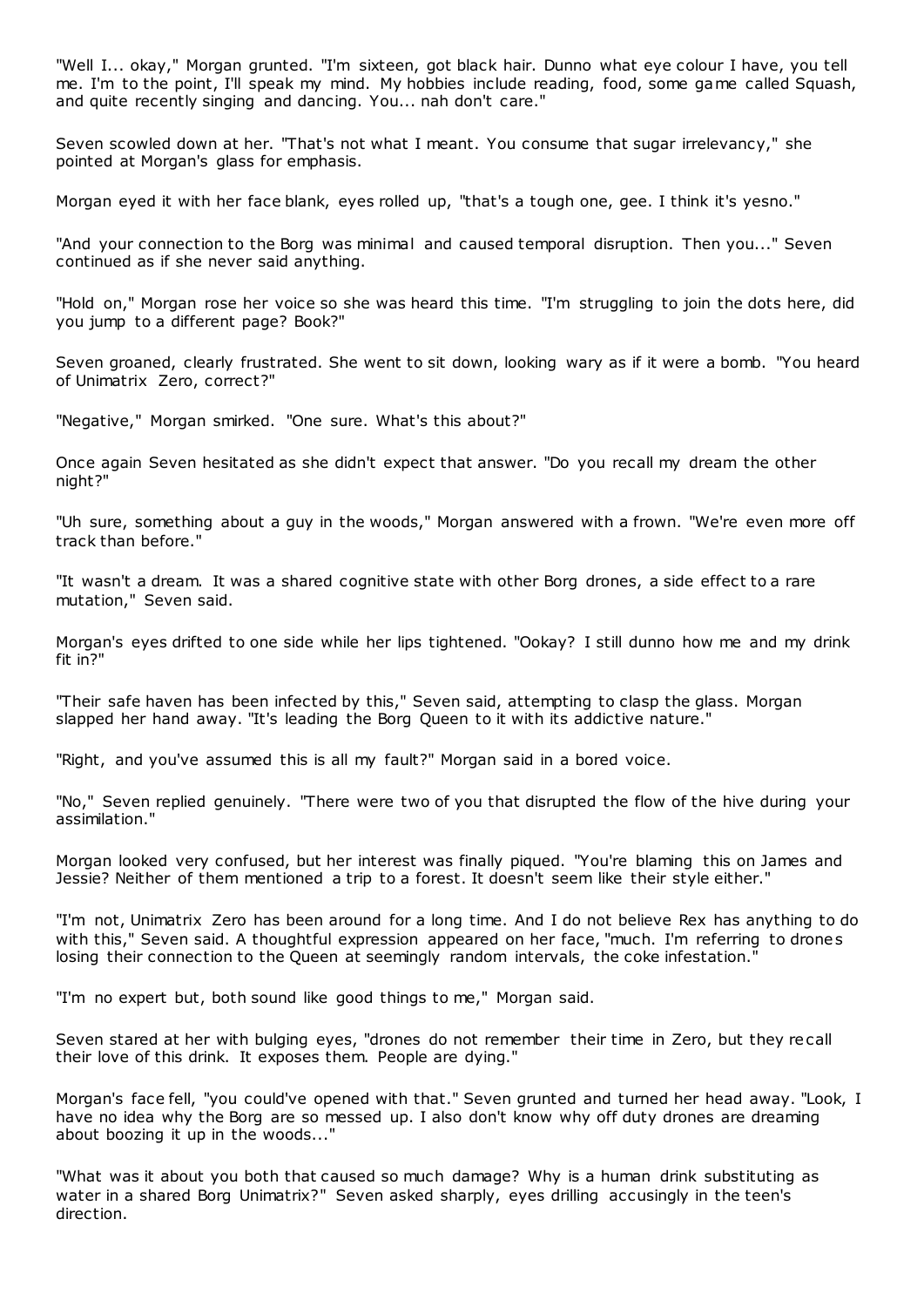"Well I... okay," Morgan grunted. "I'm sixteen, got black hair. Dunno what eye colour I have, you tell me. I'm to the point, I'll speak my mind. My hobbies include reading, food, some game called Squash, and quite recently singing and dancing. You... nah don't care."

Seven scowled down at her. "That's not what I meant. You consume that sugar irrelevancy," she pointed at Morgan's glass for emphasis.

Morgan eyed it with her face blank, eyes rolled up, "that's a tough one, gee. I think it's yesno."

"And your connection to the Borg was minimal and caused temporal disruption. Then you..." Seven continued as if she never said anything.

"Hold on," Morgan rose her voice so she was heard this time. "I'm struggling to join the dots here, did you jump to a different page? Book?"

Seven groaned, clearly frustrated. She went to sit down, looking wary as if it were a bomb. "You heard of Unimatrix Zero, correct?"

"Negative," Morgan smirked. "One sure. What's this about?"

Once again Seven hesitated as she didn't expect that answer. "Do you recall my dream the other night?"

"Uh sure, something about a guy in the woods," Morgan answered with a frown. "We're even more off track than before."

"It wasn't a dream. It was a shared cognitive state with other Borg drones, a side effect to a rare mutation," Seven said.

Morgan's eyes drifted to one side while her lips tightened. "Ookay? I still dunno how me and my drink fit in?"

"Their safe haven has been infected by this," Seven said, attempting to clasp the glass. Morgan slapped her hand away. "It's leading the Borg Queen to it with its addictive nature."

"Right, and you've assumed this is all my fault?" Morgan said in a bored voice.

"No," Seven replied genuinely. "There were two of you that disrupted the flow of the hive during your assimilation."

Morgan looked very confused, but her interest was finally piqued. "You're blaming this on James and Jessie? Neither of them mentioned a trip to a forest. It doesn't seem like their style either."

"I'm not, Unimatrix Zero has been around for a long time. And I do not believe Rex has anything to do with this," Seven said. A thoughtful expression appeared on her face, "much. I'm referring to drones losing their connection to the Queen at seemingly random intervals, the coke infestation.'

"I'm no expert but, both sound like good things to me," Morgan said.

Seven stared at her with bulging eyes, "drones do not remember their time in Zero, but they recall their love of this drink. It exposes them. People are dying."

Morgan's face fell, "you could've opened with that." Seven grunted and turned her head away. "Look, I have no idea why the Borg are so messed up. I also don't know why off duty drones are dreaming about boozing it up in the woods..."

"What was it about you both that caused so much damage? Why is a human drink substituting as water in a shared Borg Unimatrix?" Seven asked sharply, eyes drilling accusingly in the teen's direction.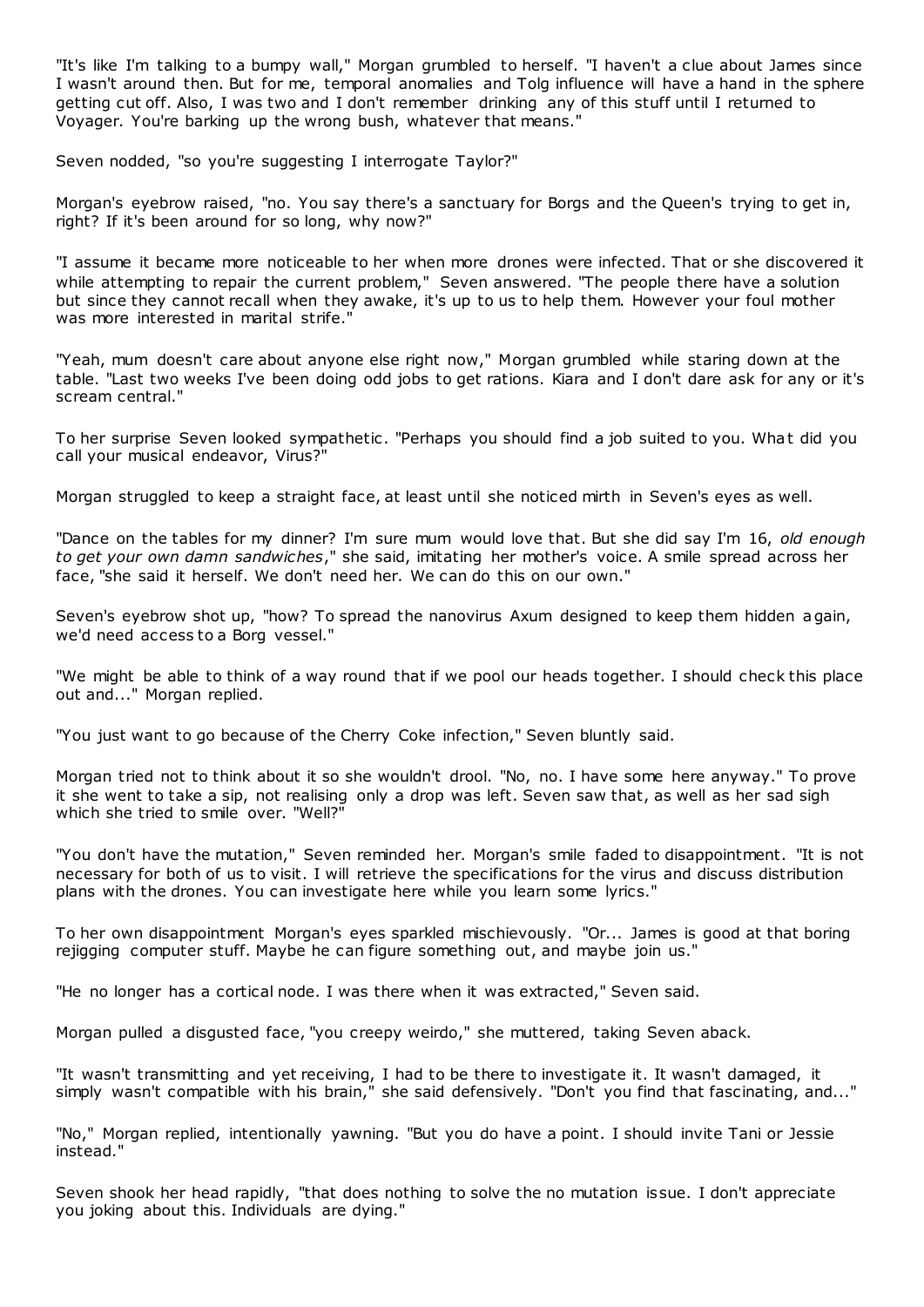"It's like I'm talking to a bumpy wall," Morgan grumbled to herself. "I haven't a clue about James since I wasn't around then. But for me, temporal anomalies and Tolg influence will have a hand in the sphere getting cut off. Also, I was two and I don't remember drinking any of this stuff until I returned to Voyager. You're barking up the wrong bush, whatever that means."

Seven nodded, "so you're suggesting I interrogate Taylor?"

Morgan's eyebrow raised, "no. You say there's a sanctuary for Borgs and the Queen's trying to get in, right? If it's been around for so long, why now?"

"I assume it became more noticeable to her when more drones were infected. That or she discovered it while attempting to repair the current problem," Seven answered. "The people there have a solution but since they cannot recall when they awake, it's up to us to help them. However your foul mother was more interested in marital strife."

"Yeah, mum doesn't care about anyone else right now," Morgan grumbled while staring down at the table. "Last two weeks I've been doing odd jobs to get rations. Kiara and I don't dare ask for any or it's scream central."

To her surprise Seven looked sympathetic . "Perhaps you should find a job suited to you. What did you call your musical endeavor, Virus?"

Morgan struggled to keep a straight face, at least until she noticed mirth in Seven's eyes as well.

"Dance on the tables for my dinner? I'm sure mum would love that. But she did say I'm 16, *old enough to get your own damn sandwiches*," she said, imitating her mother's voice. A smile spread across her face, "she said it herself. We don't need her. We can do this on our own."

Seven's eyebrow shot up, "how? To spread the nanovirus Axum designed to keep them hidden again, we'd need access to a Borg vessel."

"We might be able to think of a way round that if we pool our heads together. I should check this place out and..." Morgan replied.

"You just want to go because of the Cherry Coke infection," Seven bluntly said.

Morgan tried not to think about it so she wouldn't drool. "No, no. I have some here anyway." To prove it she went to take a sip, not realising only a drop was left. Seven saw that, as well as her sad sigh which she tried to smile over. "Well?"

"You don't have the mutation," Seven reminded her. Morgan's smile faded to disappointment. "It is not necessary for both of us to visit. I will retrieve the specifications for the virus and discuss distribution plans with the drones. You can investigate here while you learn some lyrics."

To her own disappointment Morgan's eyes sparkled mischievously. "Or... James is good at that boring rejigging computer stuff. Maybe he can figure something out, and maybe join us."

"He no longer has a cortical node. I was there when it was extracted," Seven said.

Morgan pulled a disgusted face, "you creepy weirdo," she muttered, taking Seven aback.

"It wasn't transmitting and yet receiving, I had to be there to investigate it. It wasn't damaged, it simply wasn't compatible with his brain," she said defensively. "Don't you find that fascinating, and..."

"No," Morgan replied, intentionally yawning. "But you do have a point. I should invite Tani or Jessie instead."

Seven shook her head rapidly, "that does nothing to solve the no mutation issue. I don't appreciate you joking about this. Individuals are dying."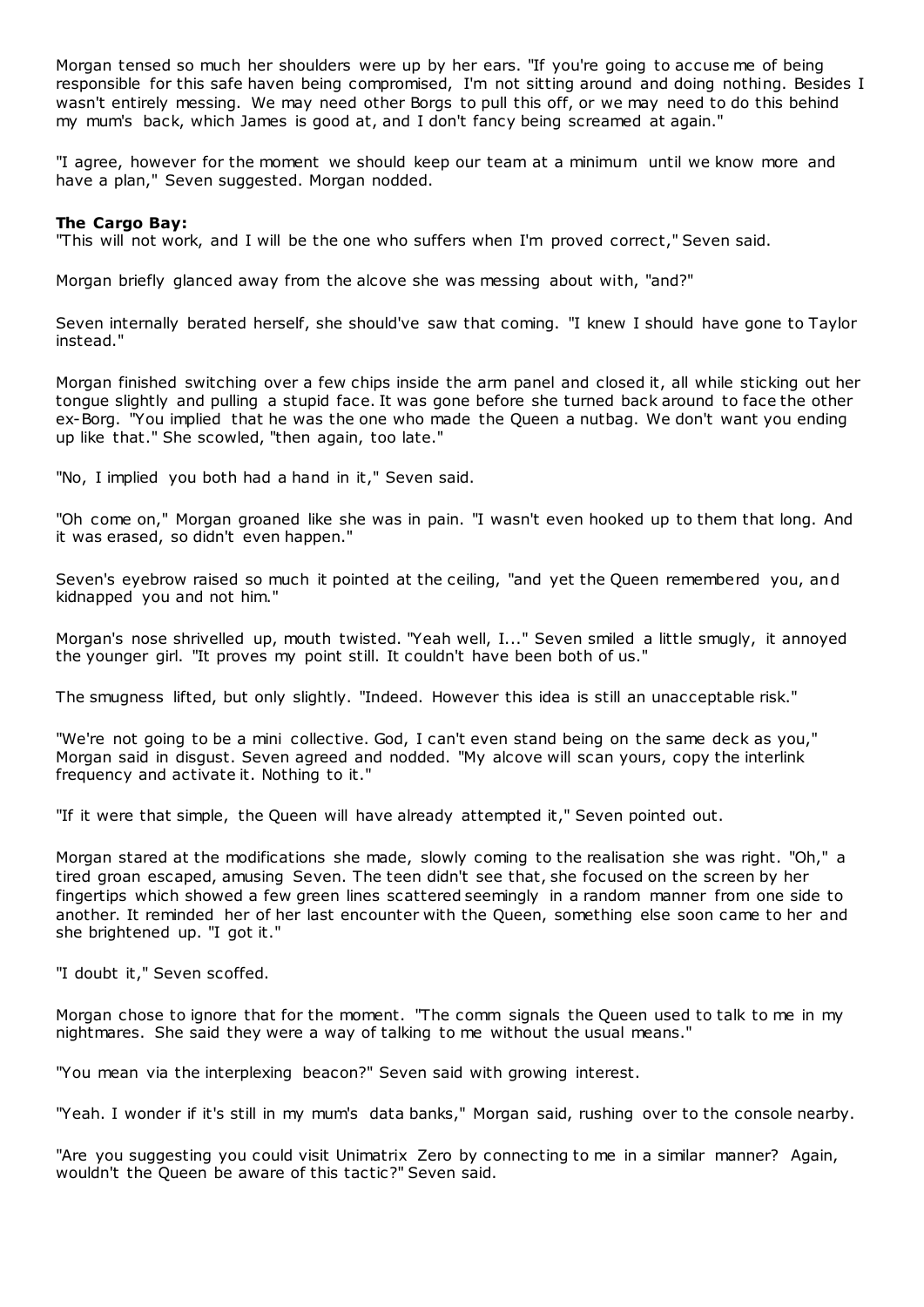Morgan tensed so much her shoulders were up by her ears. "If you're going to accuse me of being responsible for this safe haven being compromised, I'm not sitting around and doing nothing. Besides I wasn't entirely messing. We may need other Borgs to pull this off, or we may need to do this behind my mum's back, which James is good at, and I don't fancy being screamed at again."

"I agree, however for the moment we should keep our team at a minimum until we know more and have a plan," Seven suggested. Morgan nodded.

### **The Cargo Bay:**

"This will not work, and I will be the one who suffers when I'm proved correct," Seven said.

Morgan briefly glanced away from the alcove she was messing about with, "and?"

Seven internally berated herself, she should've saw that coming. "I knew I should have gone to Taylor instead."

Morgan finished switching over a few chips inside the arm panel and closed it, all while sticking out her tongue slightly and pulling a stupid face. It was gone before she turned back around to face the other ex-Borg. "You implied that he was the one who made the Queen a nutbag. We don't want you ending up like that." She scowled, "then again, too late."

"No, I implied you both had a hand in it," Seven said.

"Oh come on," Morgan groaned like she was in pain. "I wasn't even hooked up to them that long. And it was erased, so didn't even happen."

Seven's eyebrow raised so much it pointed at the ceiling, "and yet the Queen remembered you, and kidnapped you and not him."

Morgan's nose shrivelled up, mouth twisted. "Yeah well, I..." Seven smiled a little smugly, it annoyed the younger girl. "It proves my point still. It couldn't have been both of us."

The smugness lifted, but only slightly. "Indeed. However this idea is still an unacceptable risk."

"We're not going to be a mini collective. God, I can't even stand being on the same deck as you," Morgan said in disgust. Seven agreed and nodded. "My alcove will scan yours, copy the interlink frequency and activate it. Nothing to it."

"If it were that simple, the Queen will have already attempted it," Seven pointed out.

Morgan stared at the modifications she made, slowly coming to the realisation she was right. "Oh," a tired groan escaped, amusing Seven. The teen didn't see that, she focused on the screen by her fingertips which showed a few green lines scattered seemingly in a random manner from one side to another. It reminded her of her last encounter with the Queen, something else soon came to her and she brightened up. "I got it."

"I doubt it," Seven scoffed.

Morgan chose to ignore that for the moment. "The comm signals the Queen used to talk to me in my nightmares. She said they were a way of talking to me without the usual means."

"You mean via the interplexing beacon?" Seven said with growing interest.

"Yeah. I wonder if it's still in my mum's data banks," Morgan said, rushing over to the console nearby.

"Are you suggesting you could visit Unimatrix Zero by connecting to me in a similar manner? Again, wouldn't the Queen be aware of this tactic?" Seven said.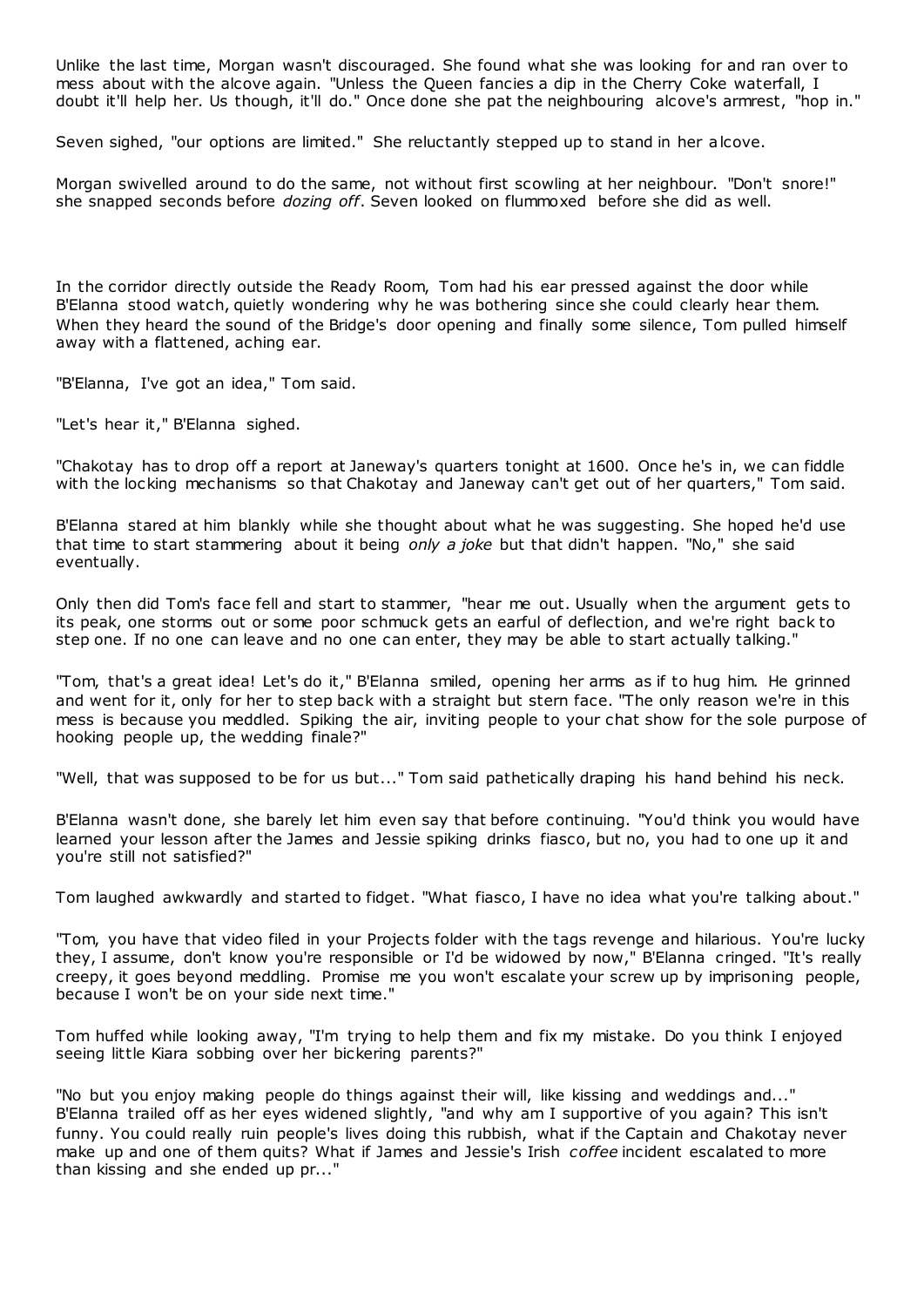Unlike the last time, Morgan wasn't discouraged. She found what she was looking for and ran over to mess about with the alcove again. "Unless the Queen fancies a dip in the Cherry Coke waterfall, I doubt it'll help her. Us though, it'll do." Once done she pat the neighbouring alcove's armrest, "hop in."

Seven sighed, "our options are limited." She reluctantly stepped up to stand in her alcove.

Morgan swivelled around to do the same, not without first scowling at her neighbour. "Don't snore!" she snapped seconds before *dozing off*. Seven looked on flummoxed before she did as well.

In the corridor directly outside the Ready Room, Tom had his ear pressed against the door while B'Elanna stood watch, quietly wondering why he was bothering since she could clearly hear them. When they heard the sound of the Bridge's door opening and finally some silence, Tom pulled himself away with a flattened, aching ear.

"B'Elanna, I've got an idea," Tom said.

"Let's hear it," B'Elanna sighed.

"Chakotay has to drop off a report at Janeway's quarters tonight at 1600. Once he's in, we can fiddle with the locking mechanisms so that Chakotay and Janeway can't get out of her quarters," Tom said.

B'Elanna stared at him blankly while she thought about what he was suggesting. She hoped he'd use that time to start stammering about it being *only a joke* but that didn't happen. "No," she said eventually.

Only then did Tom's face fell and start to stammer, "hear me out. Usually when the argument gets to its peak, one storms out or some poor schmuck gets an earful of deflection, and we're right back to step one. If no one can leave and no one can enter, they may be able to start actually talking."

"Tom, that's a great idea! Let's do it," B'Elanna smiled, opening her arms as if to hug him. He grinned and went for it, only for her to step back with a straight but stern face. "The only reason we're in this mess is because you meddled. Spiking the air, inviting people to your chat show for the sole purpose of hooking people up, the wedding finale?"

"Well, that was supposed to be for us but..." Tom said pathetically draping his hand behind his neck.

B'Elanna wasn't done, she barely let him even say that before continuing. "You'd think you would have learned your lesson after the James and Jessie spiking drinks fiasco, but no, you had to one up it and you're still not satisfied?"

Tom laughed awkwardly and started to fidget. "What fiasco, I have no idea what you're talking about."

"Tom, you have that video filed in your Projects folder with the tags revenge and hilarious. You're lucky they, I assume, don't know you're responsible or I'd be widowed by now," B'Elanna cringed. "It's really creepy, it goes beyond meddling. Promise me you won't escalate your screw up by imprisoning people, because I won't be on your side next time."

Tom huffed while looking away, "I'm trying to help them and fix my mistake. Do you think I enjoyed seeing little Kiara sobbing over her bickering parents?"

"No but you enjoy making people do things against their will, like kissing and weddings and..." B'Elanna trailed off as her eyes widened slightly, "and why am I supportive of you again? This isn't funny. You could really ruin people's lives doing this rubbish, what if the Captain and Chakotay never make up and one of them quits? What if James and Jessie's Irish *coffee* incident escalated to more than kissing and she ended up pr..."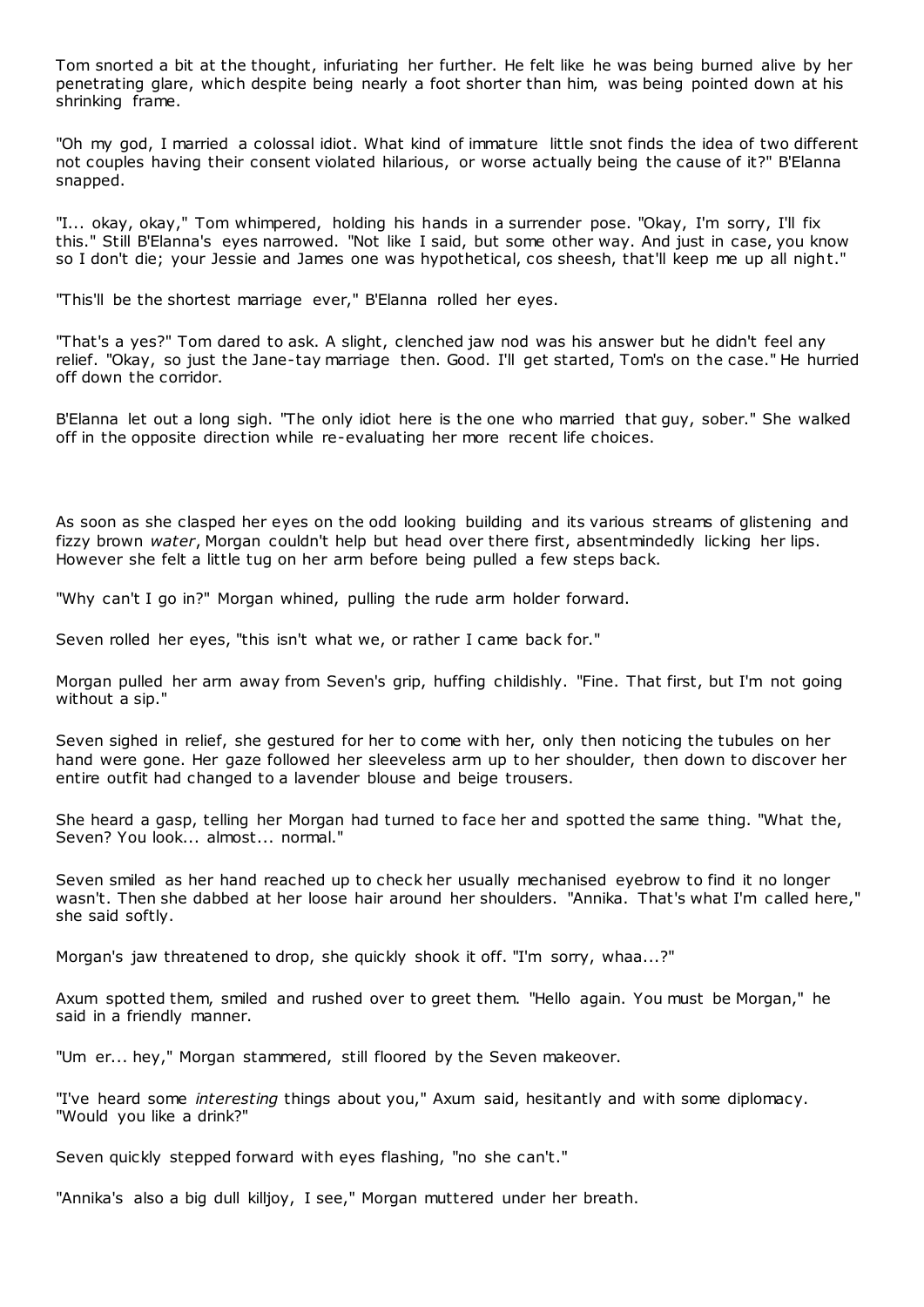Tom snorted a bit at the thought, infuriating her further. He felt like he was being burned alive by her penetrating glare, which despite being nearly a foot shorter than him, was being pointed down at his shrinking frame.

"Oh my god, I married a colossal idiot. What kind of immature little snot finds the idea of two different not couples having their consent violated hilarious, or worse actually being the cause of it?" B'Elanna snapped.

"I... okay, okay," Tom whimpered, holding his hands in a surrender pose. "Okay, I'm sorry, I'll fix this." Still B'Elanna's eyes narrowed. "Not like I said, but some other way. And just in case, you know so I don't die; your Jessie and James one was hypothetical, cos sheesh, that'll keep me up all night."

"This'll be the shortest marriage ever," B'Elanna rolled her eyes.

"That's a yes?" Tom dared to ask. A slight, clenched jaw nod was his answer but he didn't feel any relief. "Okay, so just the Jane-tay marriage then. Good. I'll get started, Tom's on the case." He hurried off down the corridor.

B'Elanna let out a long sigh. "The only idiot here is the one who married that guy, sober." She walked off in the opposite direction while re-evaluating her more recent life choices.

As soon as she clasped her eyes on the odd looking building and its various streams of glistening and fizzy brown *water*, Morgan couldn't help but head over there first, absentmindedly licking her lips. However she felt a little tug on her arm before being pulled a few steps back.

"Why can't I go in?" Morgan whined, pulling the rude arm holder forward.

Seven rolled her eyes, "this isn't what we, or rather I came back for."

Morgan pulled her arm away from Seven's grip, huffing childishly. "Fine. That first, but I'm not going without a sip."

Seven sighed in relief, she gestured for her to come with her, only then noticing the tubules on her hand were gone. Her gaze followed her sleeveless arm up to her shoulder, then down to discover her entire outfit had changed to a lavender blouse and beige trousers.

She heard a gasp, telling her Morgan had turned to face her and spotted the same thing. "What the, Seven? You look... almost... normal."

Seven smiled as her hand reached up to check her usually mechanised eyebrow to find it no longer wasn't. Then she dabbed at her loose hair around her shoulders. "Annika. That's what I'm called here," she said softly.

Morgan's jaw threatened to drop, she quickly shook it off. "I'm sorry, whaa...?"

Axum spotted them, smiled and rushed over to greet them. "Hello again. You must be Morgan," he said in a friendly manner.

"Um er... hey," Morgan stammered, still floored by the Seven makeover.

"I've heard some *interesting* things about you," Axum said, hesitantly and with some diplomacy. "Would you like a drink?"

Seven quickly stepped forward with eyes flashing, "no she can't."

"Annika's also a big dull killjoy, I see," Morgan muttered under her breath.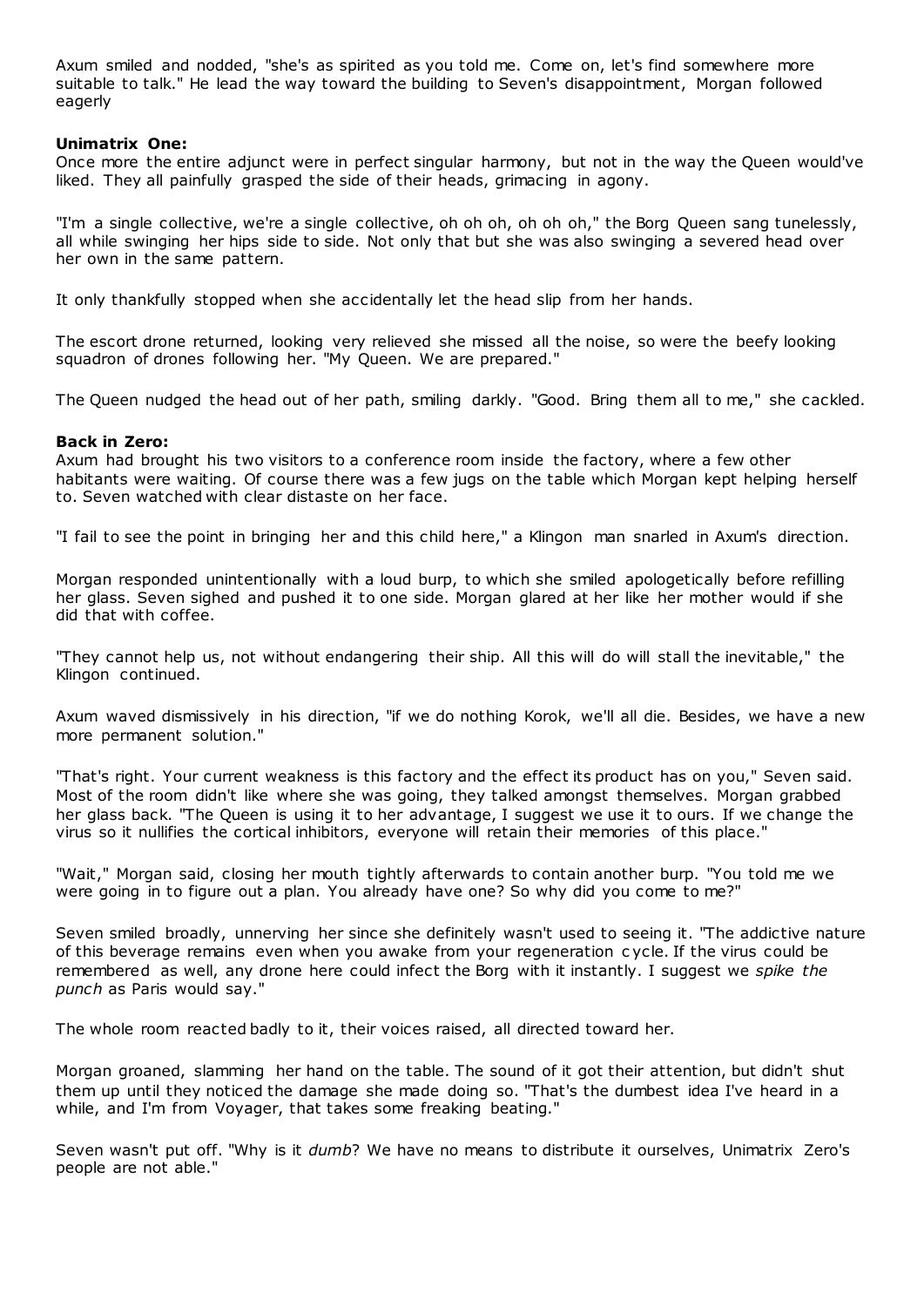Axum smiled and nodded, "she's as spirited as you told me. Come on, let's find somewhere more suitable to talk." He lead the way toward the building to Seven's disappointment, Morgan followed eagerly

## **Unimatrix One:**

Once more the entire adjunct were in perfect singular harmony, but not in the way the Queen would've liked. They all painfully grasped the side of their heads, grimacing in agony.

"I'm a single collective, we're a single collective, oh oh oh, oh oh oh," the Borg Queen sang tunelessly, all while swinging her hips side to side. Not only that but she was also swinging a severed head over her own in the same pattern.

It only thankfully stopped when she accidentally let the head slip from her hands.

The escort drone returned, looking very relieved she missed all the noise, so were the beefy looking squadron of drones following her. "My Queen. We are prepared."

The Queen nudged the head out of her path, smiling darkly. "Good. Bring them all to me," she cackled.

### **Back in Zero:**

Axum had brought his two visitors to a conference room inside the factory, where a few other habitants were waiting. Of course there was a few jugs on the table which Morgan kept helping herself to. Seven watched with clear distaste on her face.

"I fail to see the point in bringing her and this child here," a Klingon man snarled in Axum's direction.

Morgan responded unintentionally with a loud burp, to which she smiled apologetically before refilling her glass. Seven sighed and pushed it to one side. Morgan glared at her like her mother would if she did that with coffee.

"They cannot help us, not without endangering their ship. All this will do will stall the inevitable," the Klingon continued.

Axum waved dismissively in his direction, "if we do nothing Korok, we'll all die. Besides, we have a new more permanent solution."

"That's right. Your current weakness is this factory and the effect its product has on you," Seven said. Most of the room didn't like where she was going, they talked amongst themselves. Morgan grabbed her glass back. "The Queen is using it to her advantage, I suggest we use it to ours. If we change the virus so it nullifies the cortical inhibitors, everyone will retain their memories of this place."

"Wait," Morgan said, closing her mouth tightly afterwards to contain another burp. "You told me we were going in to figure out a plan. You already have one? So why did you come to me?"

Seven smiled broadly, unnerving her since she definitely wasn't used to seeing it. "The addictive nature of this beverage remains even when you awake from your regeneration c ycle. If the virus could be remembered as well, any drone here could infect the Borg with it instantly. I suggest we *spike the punch* as Paris would say."

The whole room reacted badly to it, their voices raised, all directed toward her.

Morgan groaned, slamming her hand on the table. The sound of it got their attention, but didn't shut them up until they noticed the damage she made doing so. "That's the dumbest idea I've heard in a while, and I'm from Voyager, that takes some freaking beating."

Seven wasn't put off. "Why is it *dumb*? We have no means to distribute it ourselves, Unimatrix Zero's people are not able."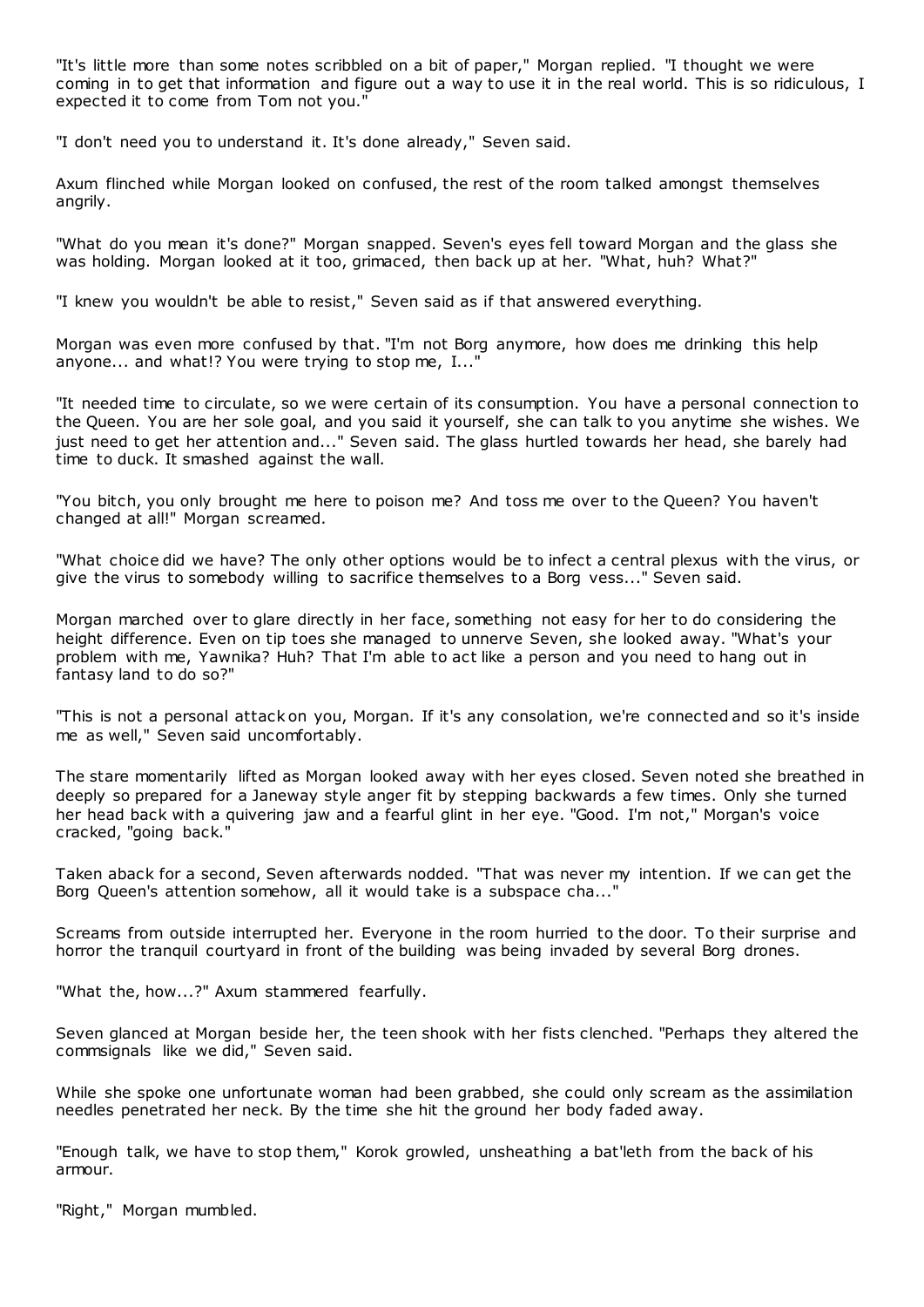"It's little more than some notes scribbled on a bit of paper," Morgan replied. "I thought we were coming in to get that information and figure out a way to use it in the real world. This is so ridiculous, I expected it to come from Tom not you."

"I don't need you to understand it. It's done already," Seven said.

Axum flinched while Morgan looked on confused, the rest of the room talked amongst themselves angrily.

"What do you mean it's done?" Morgan snapped. Seven's eyes fell toward Morgan and the glass she was holding. Morgan looked at it too, grimaced, then back up at her. "What, huh? What?"

"I knew you wouldn't be able to resist," Seven said as if that answered everything.

Morgan was even more confused by that. "I'm not Borg anymore, how does me drinking this help anyone... and what!? You were trying to stop me, I..."

"It needed time to circulate, so we were certain of its consumption. You have a personal connection to the Queen. You are her sole goal, and you said it yourself, she can talk to you anytime she wishes. We just need to get her attention and..." Seven said. The glass hurtled towards her head, she barely had time to duck. It smashed against the wall.

"You bitch, you only brought me here to poison me? And toss me over to the Queen? You haven't changed at all!" Morgan screamed.

"What choice did we have? The only other options would be to infect a central plexus with the virus, or give the virus to somebody willing to sacrifice themselves to a Borg vess..." Seven said.

Morgan marched over to glare directly in her face, something not easy for her to do considering the height difference. Even on tip toes she managed to unnerve Seven, she looked away. "What's your problem with me, Yawnika? Huh? That I'm able to act like a person and you need to hang out in fantasy land to do so?"

"This is not a personal attack on you, Morgan. If it's any consolation, we're connected and so it's inside me as well," Seven said uncomfortably.

The stare momentarily lifted as Morgan looked away with her eyes closed. Seven noted she breathed in deeply so prepared for a Janeway style anger fit by stepping backwards a few times. Only she turned her head back with a quivering jaw and a fearful glint in her eye. "Good. I'm not," Morgan's voice cracked, "going back."

Taken aback for a second, Seven afterwards nodded. "That was never my intention. If we can get the Borg Queen's attention somehow, all it would take is a subspace cha..."

Screams from outside interrupted her. Everyone in the room hurried to the door. To their surprise and horror the tranquil courtyard in front of the building was being invaded by several Borg drones.

"What the, how...?" Axum stammered fearfully.

Seven glanced at Morgan beside her, the teen shook with her fists clenched. "Perhaps they altered the commsignals like we did," Seven said.

While she spoke one unfortunate woman had been grabbed, she could only scream as the assimilation needles penetrated her neck. By the time she hit the ground her body faded away.

"Enough talk, we have to stop them," Korok growled, unsheathing a bat'leth from the back of his armour.

"Right," Morgan mumbled.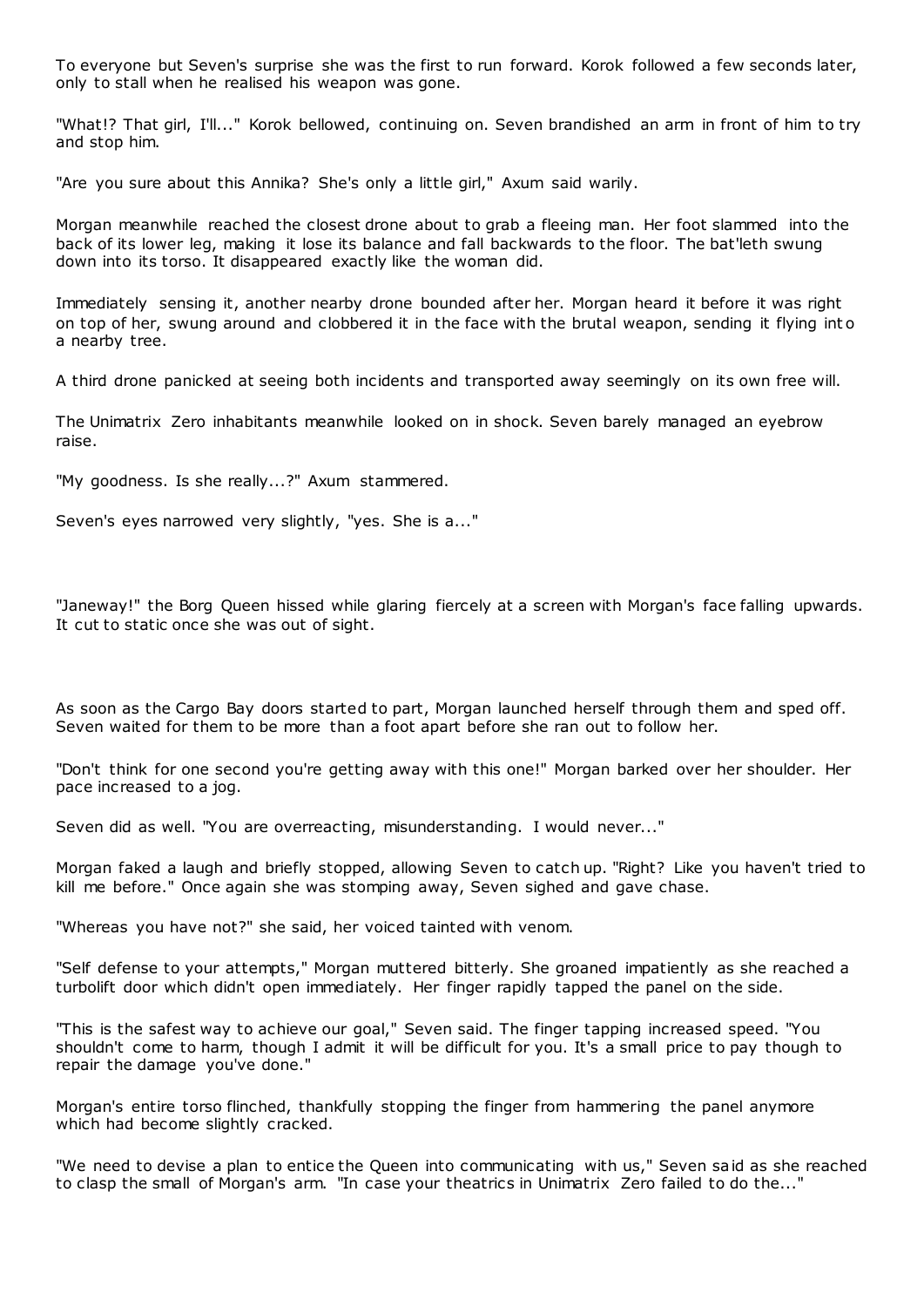To everyone but Seven's surprise she was the first to run forward. Korok followed a few seconds later, only to stall when he realised his weapon was gone.

"What!? That girl, I'll..." Korok bellowed, continuing on. Seven brandished an arm in front of him to try and stop him.

"Are you sure about this Annika? She's only a little girl," Axum said warily.

Morgan meanwhile reached the closest drone about to grab a fleeing man. Her foot slammed into the back of its lower leg, making it lose its balance and fall backwards to the floor. The bat'leth swung down into its torso. It disappeared exactly like the woman did.

Immediately sensing it, another nearby drone bounded after her. Morgan heard it before it was right on top of her, swung around and clobbered it in the face with the brutal weapon, sending it flying int o a nearby tree.

A third drone panicked at seeing both incidents and transported away seemingly on its own free will.

The Unimatrix Zero inhabitants meanwhile looked on in shock. Seven barely managed an eyebrow raise.

"My goodness. Is she really...?" Axum stammered.

Seven's eyes narrowed very slightly, "yes. She is a..."

"Janeway!" the Borg Queen hissed while glaring fiercely at a screen with Morgan's face falling upwards. It cut to static once she was out of sight.

As soon as the Cargo Bay doors started to part, Morgan launched herself through them and sped off. Seven waited for them to be more than a foot apart before she ran out to follow her.

"Don't think for one second you're getting away with this one!" Morgan barked over her shoulder. Her pace increased to a jog.

Seven did as well. "You are overreacting, misunderstanding. I would never..."

Morgan faked a laugh and briefly stopped, allowing Seven to catch up. "Right? Like you haven't tried to kill me before." Once again she was stomping away, Seven sighed and gave chase.

"Whereas you have not?" she said, her voiced tainted with venom.

"Self defense to your attempts," Morgan muttered bitterly. She groaned impatiently as she reached a turbolift door which didn't open immediately. Her finger rapidly tapped the panel on the side.

"This is the safest way to achieve our goal," Seven said. The finger tapping increased speed. "You shouldn't come to harm, though I admit it will be difficult for you. It's a small price to pay though to repair the damage you've done."

Morgan's entire torso flinched, thankfully stopping the finger from hammering the panel anymore which had become slightly cracked.

"We need to devise a plan to entice the Queen into communicating with us," Seven said as she reached to clasp the small of Morgan's arm. "In case your theatrics in Unimatrix Zero failed to do the..."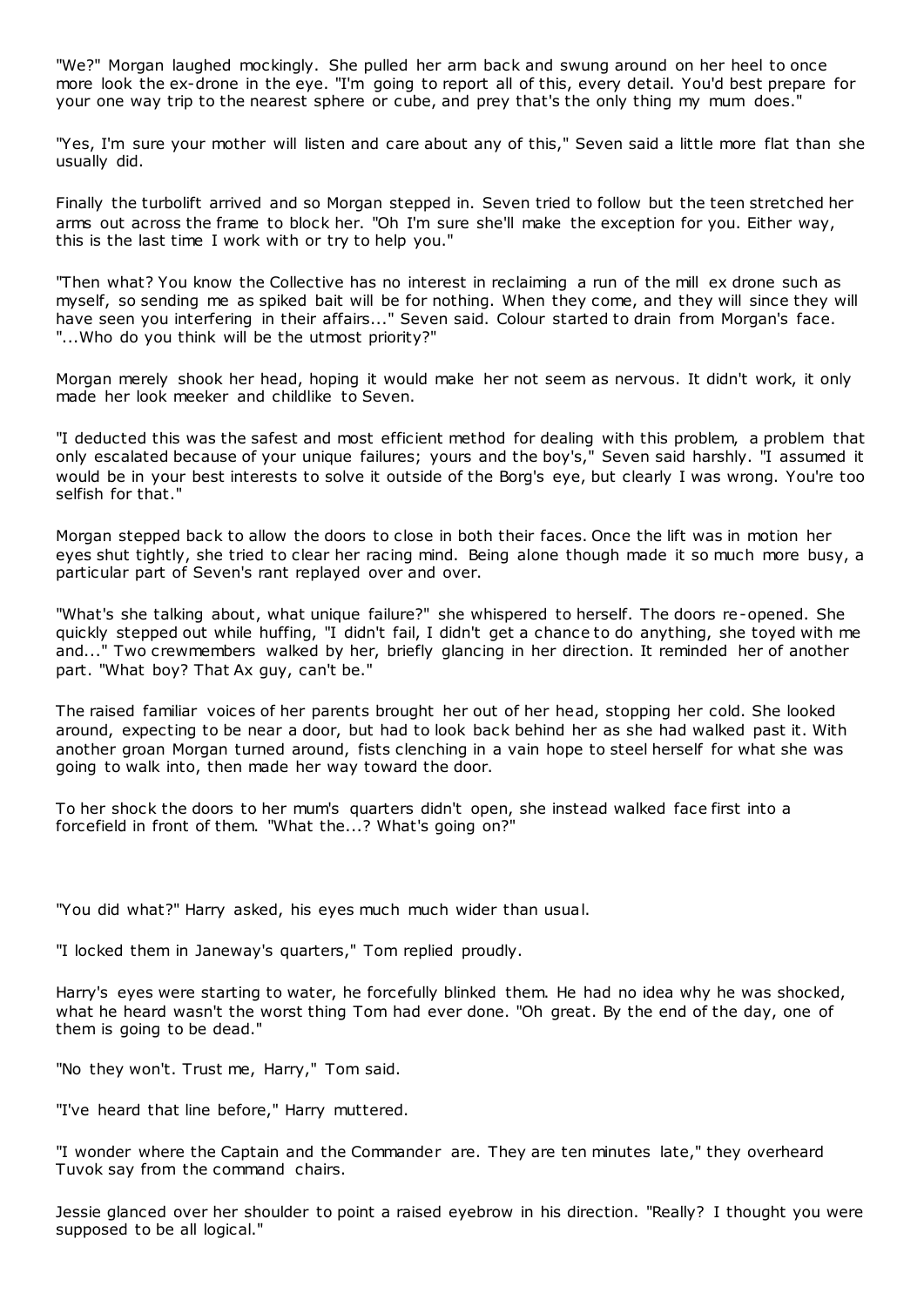"We?" Morgan laughed mockingly. She pulled her arm back and swung around on her heel to once more look the ex-drone in the eye. "I'm going to report all of this, every detail. You'd best prepare for your one way trip to the nearest sphere or cube, and prey that's the only thing my mum does."

"Yes, I'm sure your mother will listen and care about any of this," Seven said a little more flat than she usually did.

Finally the turbolift arrived and so Morgan stepped in. Seven tried to follow but the teen stretched her arms out across the frame to block her. "Oh I'm sure she'll make the exception for you. Either way, this is the last time I work with or try to help you."

"Then what? You know the Collective has no interest in reclaiming a run of the mill ex drone such as myself, so sending me as spiked bait will be for nothing. When they come, and they will since they will have seen you interfering in their affairs..." Seven said. Colour started to drain from Morgan's face. "...Who do you think will be the utmost priority?"

Morgan merely shook her head, hoping it would make her not seem as nervous. It didn't work, it only made her look meeker and childlike to Seven.

"I deducted this was the safest and most efficient method for dealing with this problem, a problem that only escalated because of your unique failures; yours and the boy's," Seven said harshly. "I assumed it would be in your best interests to solve it outside of the Borg's eye, but clearly I was wrong. You're too selfish for that."

Morgan stepped back to allow the doors to close in both their faces. Once the lift was in motion her eyes shut tightly, she tried to clear her racing mind. Being alone though made it so much more busy, a particular part of Seven's rant replayed over and over.

"What's she talking about, what unique failure?" she whispered to herself. The doors re-opened. She quickly stepped out while huffing, "I didn't fail, I didn't get a chance to do anything, she toyed with me and..." Two crewmembers walked by her, briefly glancing in her direction. It reminded her of another part. "What boy? That Ax guy, can't be."

The raised familiar voices of her parents brought her out of her head, stopping her cold. She looked around, expecting to be near a door, but had to look back behind her as she had walked past it. With another groan Morgan turned around, fists clenching in a vain hope to steel herself for what she was going to walk into, then made her way toward the door.

To her shock the doors to her mum's quarters didn't open, she instead walked face first into a forcefield in front of them. "What the...? What's going on?"

"You did what?" Harry asked, his eyes much much wider than usual.

"I locked them in Janeway's quarters," Tom replied proudly.

Harry's eyes were starting to water, he forcefully blinked them. He had no idea why he was shocked, what he heard wasn't the worst thing Tom had ever done. "Oh great. By the end of the day, one of them is going to be dead."

"No they won't. Trust me, Harry," Tom said.

"I've heard that line before," Harry muttered.

"I wonder where the Captain and the Commander are. They are ten minutes late," they overheard Tuvok say from the command chairs.

Jessie glanced over her shoulder to point a raised eyebrow in his direction. "Really? I thought you were supposed to be all logical."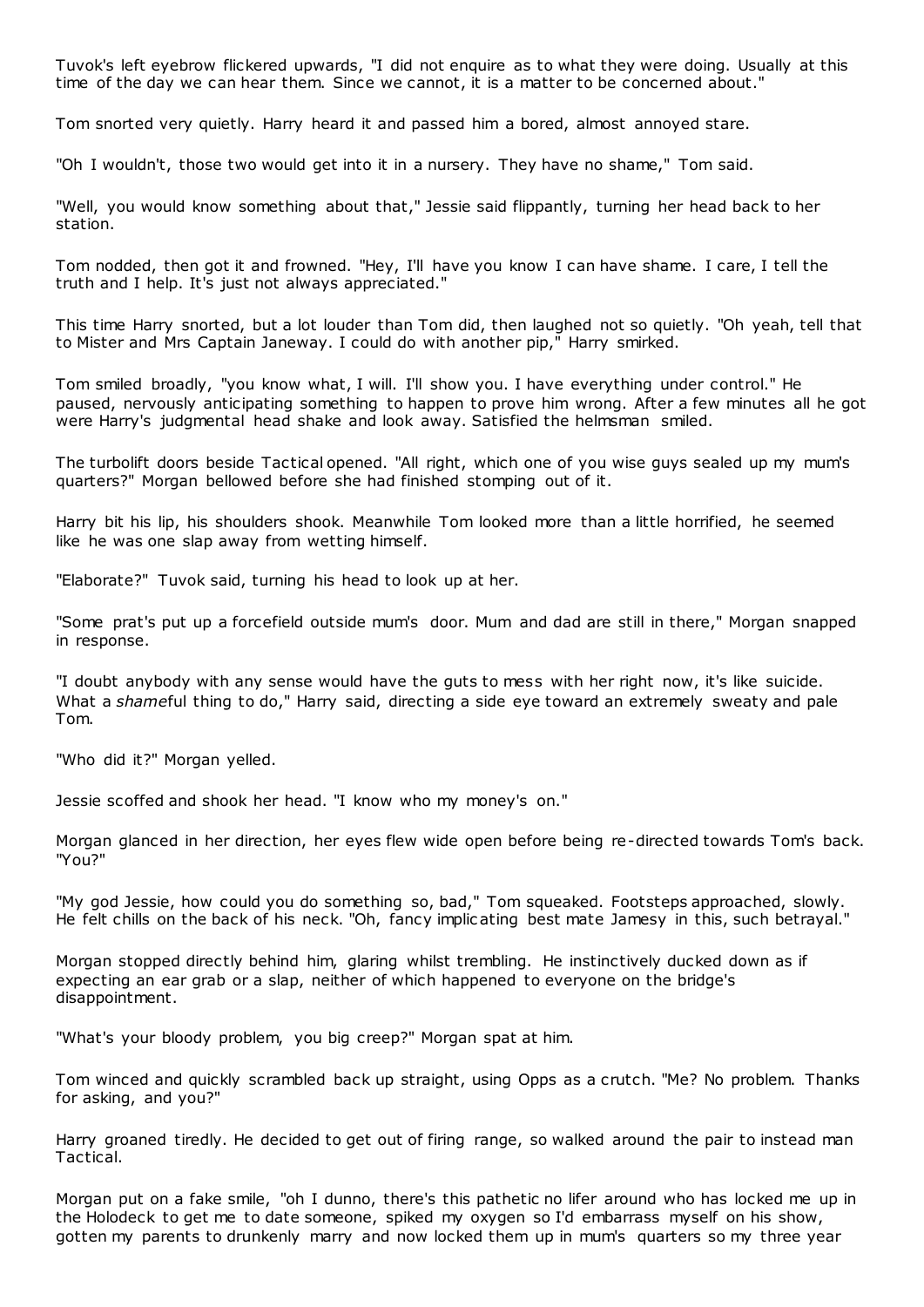Tuvok's left eyebrow flickered upwards, "I did not enquire as to what they were doing. Usually at this time of the day we can hear them. Since we cannot, it is a matter to be concerned about."

Tom snorted very quietly. Harry heard it and passed him a bored, almost annoyed stare.

"Oh I wouldn't, those two would get into it in a nursery. They have no shame," Tom said.

"Well, you would know something about that," Jessie said flippantly, turning her head back to her station.

Tom nodded, then got it and frowned. "Hey, I'll have you know I can have shame. I care, I tell the truth and I help. It's just not always appreciated."

This time Harry snorted, but a lot louder than Tom did, then laughed not so quietly. "Oh yeah, tell that to Mister and Mrs Captain Janeway. I could do with another pip," Harry smirked.

Tom smiled broadly, "you know what, I will. I'll show you. I have everything under control." He paused, nervously anticipating something to happen to prove him wrong. After a few minutes all he got were Harry's judgmental head shake and look away. Satisfied the helmsman smiled.

The turbolift doors beside Tactical opened. "All right, which one of you wise guys sealed up my mum's quarters?" Morgan bellowed before she had finished stomping out of it.

Harry bit his lip, his shoulders shook. Meanwhile Tom looked more than a little horrified, he seemed like he was one slap away from wetting himself.

"Elaborate?" Tuvok said, turning his head to look up at her.

"Some prat's put up a forcefield outside mum's door. Mum and dad are still in there," Morgan snapped in response.

"I doubt anybody with any sense would have the guts to mess with her right now, it's like suicide. What a *shame*ful thing to do," Harry said, directing a side eye toward an extremely sweaty and pale Tom.

"Who did it?" Morgan yelled.

Jessie scoffed and shook her head. "I know who my money's on."

Morgan glanced in her direction, her eyes flew wide open before being re-directed towards Tom's back. "You?"

"My god Jessie, how could you do something so, bad," Tom squeaked. Footsteps approached, slowly. He felt chills on the back of his neck. "Oh, fancy implic ating best mate Jamesy in this, such betrayal."

Morgan stopped directly behind him, glaring whilst trembling. He instinctively ducked down as if expecting an ear grab or a slap, neither of which happened to everyone on the bridge's disappointment.

"What's your bloody problem, you big creep?" Morgan spat at him.

Tom winced and quickly scrambled back up straight, using Opps as a crutch. "Me? No problem. Thanks for asking, and you?"

Harry groaned tiredly. He decided to get out of firing range, so walked around the pair to instead man Tactical.

Morgan put on a fake smile, "oh I dunno, there's this pathetic no lifer around who has locked me up in the Holodeck to get me to date someone, spiked my oxygen so I'd embarrass myself on his show, gotten my parents to drunkenly marry and now locked them up in mum's quarters so my three year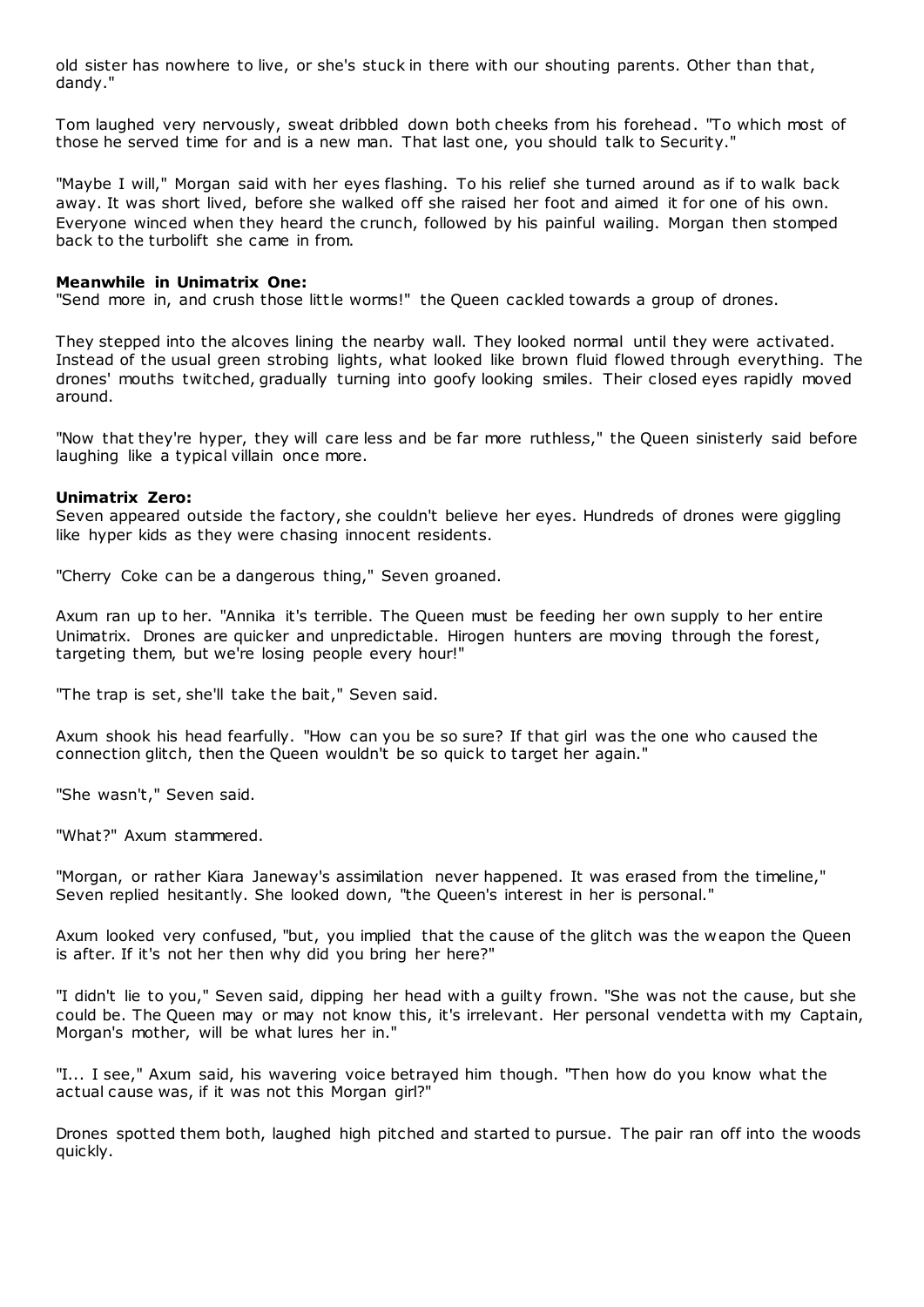old sister has nowhere to live, or she's stuck in there with our shouting parents. Other than that, dandy."

Tom laughed very nervously, sweat dribbled down both cheeks from his forehead. "To which most of those he served time for and is a new man. That last one, you should talk to Security."

"Maybe I will," Morgan said with her eyes flashing. To his relief she turned around as if to walk back away. It was short lived, before she walked off she raised her foot and aimed it for one of his own. Everyone winced when they heard the crunch, followed by his painful wailing. Morgan then stomped back to the turbolift she came in from.

### **Meanwhile in Unimatrix One:**

"Send more in, and crush those little worms!" the Queen cackled towards a group of drones.

They stepped into the alcoves lining the nearby wall. They looked normal until they were activated. Instead of the usual green strobing lights, what looked like brown fluid flowed through everything. The drones' mouths twitched, gradually turning into goofy looking smiles. Their closed eyes rapidly moved around.

"Now that they're hyper, they will care less and be far more ruthless," the Queen sinisterly said before laughing like a typical villain once more.

#### **Unimatrix Zero:**

Seven appeared outside the factory, she couldn't believe her eyes. Hundreds of drones were giggling like hyper kids as they were chasing innocent residents.

"Cherry Coke can be a dangerous thing," Seven groaned.

Axum ran up to her. "Annika it's terrible. The Queen must be feeding her own supply to her entire Unimatrix. Drones are quicker and unpredictable. Hirogen hunters are moving through the forest, targeting them, but we're losing people every hour!"

"The trap is set, she'll take the bait," Seven said.

Axum shook his head fearfully. "How can you be so sure? If that girl was the one who caused the connection glitch, then the Queen wouldn't be so quick to target her again."

"She wasn't," Seven said.

"What?" Axum stammered.

"Morgan, or rather Kiara Janeway's assimilation never happened. It was erased from the timeline," Seven replied hesitantly. She looked down, "the Queen's interest in her is personal."

Axum looked very confused, "but, you implied that the cause of the glitch was the w eapon the Queen is after. If it's not her then why did you bring her here?"

"I didn't lie to you," Seven said, dipping her head with a guilty frown. "She was not the cause, but she could be. The Queen may or may not know this, it's irrelevant. Her personal vendetta with my Captain, Morgan's mother, will be what lures her in."

"I... I see," Axum said, his wavering voice betrayed him though. "Then how do you know what the actual cause was, if it was not this Morgan girl?"

Drones spotted them both, laughed high pitched and started to pursue. The pair ran off into the woods quickly.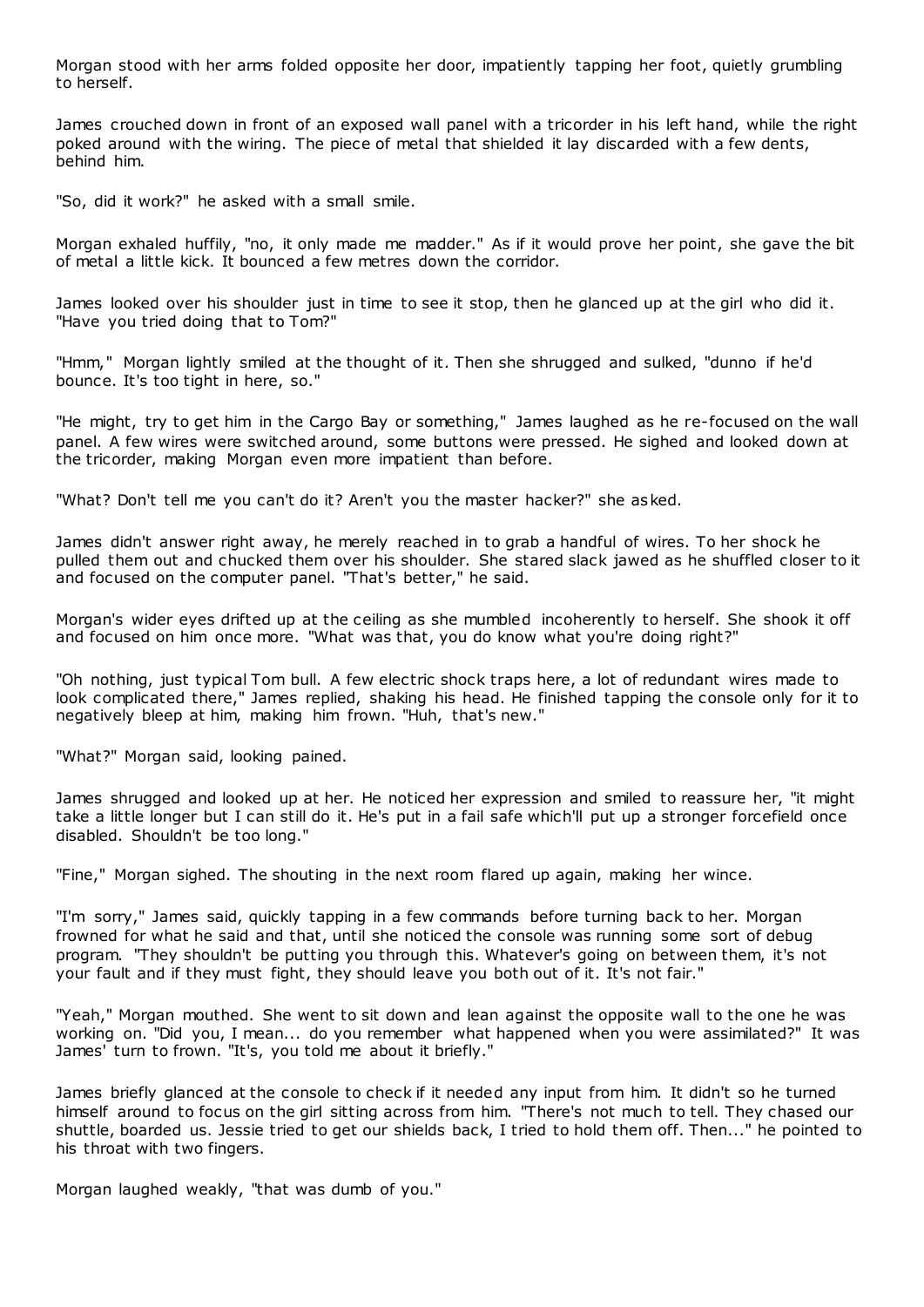Morgan stood with her arms folded opposite her door, impatiently tapping her foot, quietly grumbling to herself.

James crouched down in front of an exposed wall panel with a tricorder in his left hand, while the right poked around with the wiring. The piece of metal that shielded it lay discarded with a few dents, behind him.

"So, did it work?" he asked with a small smile.

Morgan exhaled huffily, "no, it only made me madder." As if it would prove her point, she gave the bit of metal a little kick. It bounced a few metres down the corridor.

James looked over his shoulder just in time to see it stop, then he glanced up at the girl who did it. "Have you tried doing that to Tom?"

"Hmm," Morgan lightly smiled at the thought of it. Then she shrugged and sulked, "dunno if he'd bounce. It's too tight in here, so."

"He might, try to get him in the Cargo Bay or something," James laughed as he re-focused on the wall panel. A few wires were switched around, some buttons were pressed. He sighed and looked down at the tricorder, making Morgan even more impatient than before.

"What? Don't tell me you can't do it? Aren't you the master hacker?" she asked.

James didn't answer right away, he merely reached in to grab a handful of wires. To her shock he pulled them out and chucked them over his shoulder. She stared slack jawed as he shuffled closer to it and focused on the computer panel. "That's better," he said.

Morgan's wider eyes drifted up at the ceiling as she mumbled incoherently to herself. She shook it off and focused on him once more. "What was that, you do know what you're doing right?"

"Oh nothing, just typical Tom bull. A few electric shock traps here, a lot of redundant wires made to look complicated there," James replied, shaking his head. He finished tapping the console only for it to negatively bleep at him, making him frown. "Huh, that's new."

"What?" Morgan said, looking pained.

James shrugged and looked up at her. He noticed her expression and smiled to reassure her, "it might take a little longer but I can still do it. He's put in a fail safe which'll put up a stronger forcefield once disabled. Shouldn't be too long."

"Fine," Morgan sighed. The shouting in the next room flared up again, making her wince.

"I'm sorry," James said, quickly tapping in a few commands before turning back to her. Morgan frowned for what he said and that, until she noticed the console was running some sort of debug program. "They shouldn't be putting you through this. Whatever's going on between them, it's not your fault and if they must fight, they should leave you both out of it. It's not fair."

"Yeah," Morgan mouthed. She went to sit down and lean against the opposite wall to the one he was working on. "Did you, I mean... do you remember what happened when you were assimilated?" It was James' turn to frown. "It's, you told me about it briefly."

James briefly glanced at the console to check if it needed any input from him. It didn't so he turned himself around to focus on the girl sitting across from him. "There's not much to tell. They chased our shuttle, boarded us. Jessie tried to get our shields back, I tried to hold them off. Then..." he pointed to his throat with two fingers.

Morgan laughed weakly, "that was dumb of you."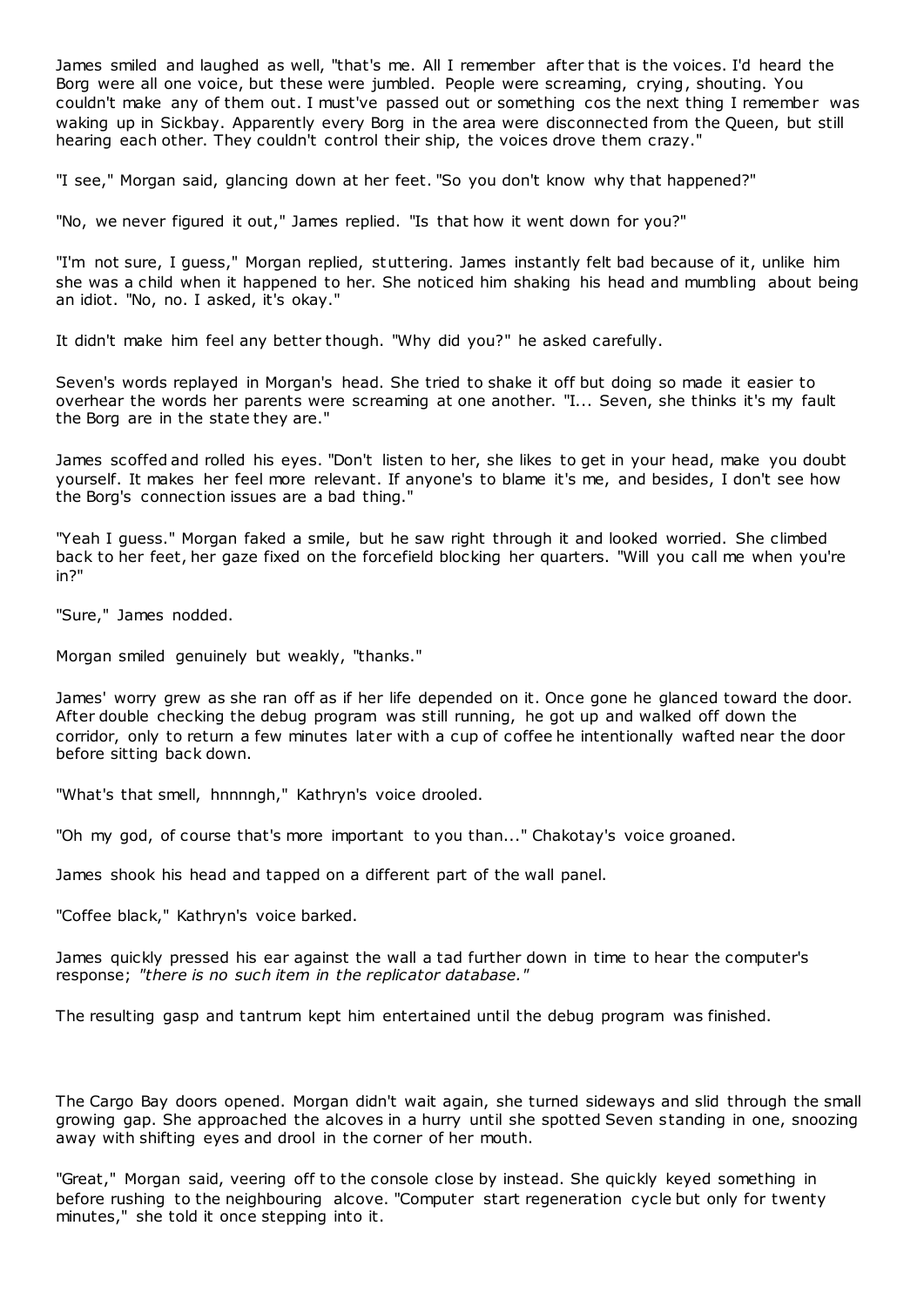James smiled and laughed as well, "that's me. All I remember after that is the voices. I'd heard the Borg were all one voice, but these were jumbled. People were screaming, crying, shouting. You couldn't make any of them out. I must've passed out or something cos the next thing I remember was waking up in Sickbay. Apparently every Borg in the area were disconnected from the Queen, but still hearing each other. They couldn't control their ship, the voices drove them crazy."

"I see," Morgan said, glancing down at her feet. "So you don't know why that happened?"

"No, we never figured it out," James replied. "Is that how it went down for you?"

"I'm not sure, I guess," Morgan replied, stuttering. James instantly felt bad because of it, unlike him she was a child when it happened to her. She noticed him shaking his head and mumbling about being an idiot. "No, no. I asked, it's okay."

It didn't make him feel any better though. "Why did you?" he asked carefully.

Seven's words replayed in Morgan's head. She tried to shake it off but doing so made it easier to overhear the words her parents were screaming at one another. "I... Seven, she thinks it's my fault the Borg are in the state they are."

James scoffed and rolled his eyes. "Don't listen to her, she likes to get in your head, make you doubt yourself. It makes her feel more relevant. If anyone's to blame it's me, and besides, I don't see how the Borg's connection issues are a bad thing."

"Yeah I guess." Morgan faked a smile, but he saw right through it and looked worried. She climbed back to her feet, her gaze fixed on the forcefield blocking her quarters. "Will you call me when you're in?"

"Sure," James nodded.

Morgan smiled genuinely but weakly, "thanks."

James' worry grew as she ran off as if her life depended on it. Once gone he glanced toward the door. After double checking the debug program was still running, he got up and walked off down the corridor, only to return a few minutes later with a cup of coffee he intentionally wafted near the door before sitting back down.

"What's that smell, hnnnngh," Kathryn's voice drooled.

"Oh my god, of course that's more important to you than..." Chakotay's voice groaned.

James shook his head and tapped on a different part of the wall panel.

"Coffee black," Kathryn's voice barked.

James quickly pressed his ear against the wall a tad further down in time to hear the computer's response; *"there is no such item in the replicator database."*

The resulting gasp and tantrum kept him entertained until the debug program was finished.

The Cargo Bay doors opened. Morgan didn't wait again, she turned sideways and slid through the small growing gap. She approached the alcoves in a hurry until she spotted Seven standing in one, snoozing away with shifting eyes and drool in the corner of her mouth.

"Great," Morgan said, veering off to the console close by instead. She quickly keyed something in before rushing to the neighbouring alcove. "Computer start regeneration cycle but only for twenty minutes," she told it once stepping into it.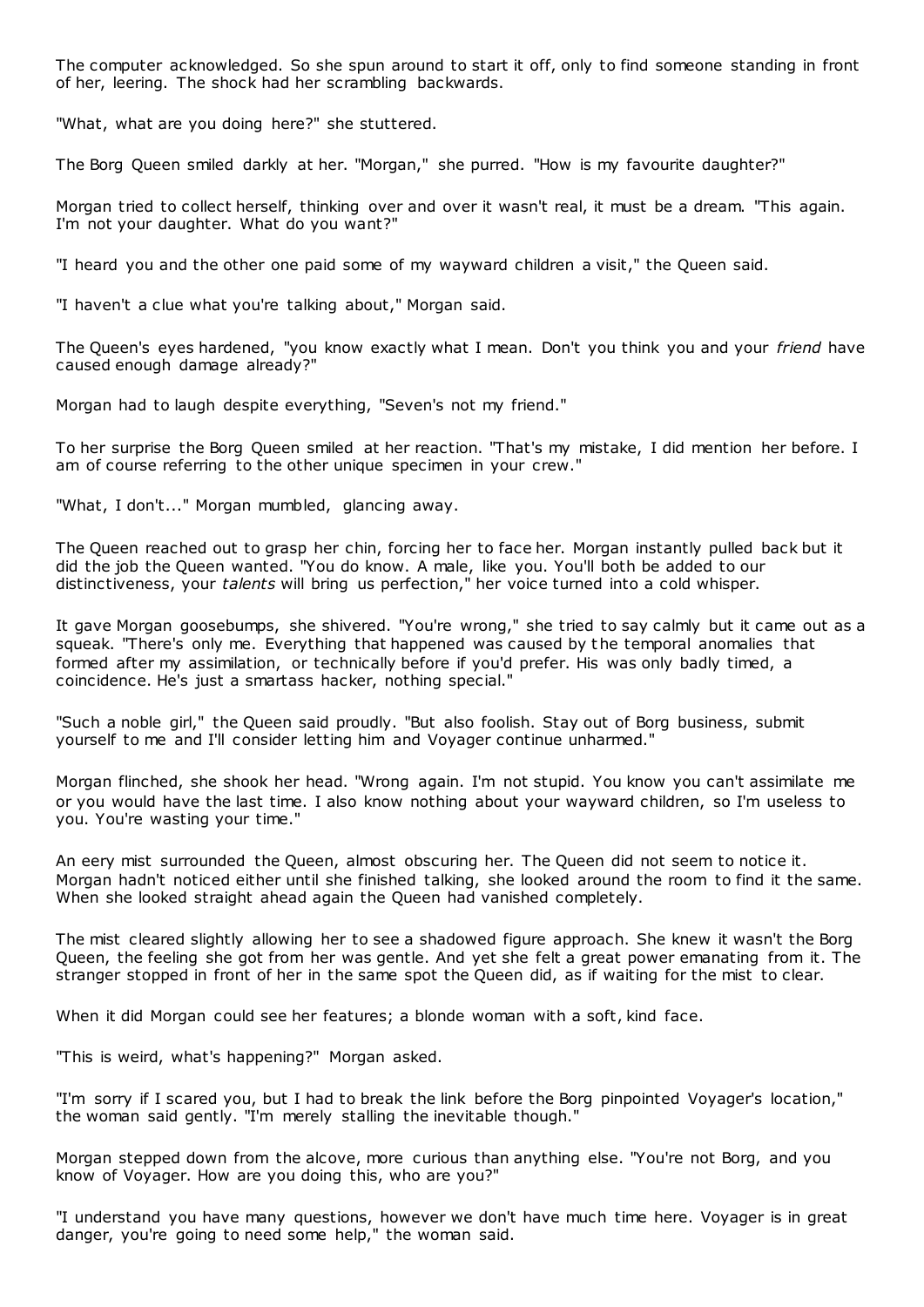The computer acknowledged. So she spun around to start it off, only to find someone standing in front of her, leering. The shock had her scrambling backwards.

"What, what are you doing here?" she stuttered.

The Borg Queen smiled darkly at her. "Morgan," she purred. "How is my favourite daughter?"

Morgan tried to collect herself, thinking over and over it wasn't real, it must be a dream. "This again. I'm not your daughter. What do you want?"

"I heard you and the other one paid some of my wayward children a visit," the Queen said.

"I haven't a clue what you're talking about," Morgan said.

The Queen's eyes hardened, "you know exactly what I mean. Don't you think you and your *friend* have caused enough damage already?"

Morgan had to laugh despite everything, "Seven's not my friend."

To her surprise the Borg Queen smiled at her reaction. "That's my mistake, I did mention her before. I am of course referring to the other unique specimen in your crew."

"What, I don't..." Morgan mumbled, glancing away.

The Queen reached out to grasp her chin, forcing her to face her. Morgan instantly pulled back but it did the job the Queen wanted. "You do know. A male, like you. You'll both be added to our distinctiveness, your *talents* will bring us perfection," her voice turned into a cold whisper.

It gave Morgan goosebumps, she shivered. "You're wrong," she tried to say calmly but it came out as a squeak. "There's only me. Everything that happened was caused by t he temporal anomalies that formed after my assimilation, or technically before if you'd prefer. His was only badly timed, a coincidence. He's just a smartass hacker, nothing special."

"Such a noble girl," the Queen said proudly. "But also foolish. Stay out of Borg business, submit yourself to me and I'll consider letting him and Voyager continue unharmed."

Morgan flinched, she shook her head. "Wrong again. I'm not stupid. You know you can't assimilate me or you would have the last time. I also know nothing about your wayward children, so I'm useless to you. You're wasting your time."

An eery mist surrounded the Queen, almost obscuring her. The Queen did not seem to notice it. Morgan hadn't noticed either until she finished talking, she looked around the room to find it the same. When she looked straight ahead again the Queen had vanished completely.

The mist cleared slightly allowing her to see a shadowed figure approach. She knew it wasn't the Borg Queen, the feeling she got from her was gentle. And yet she felt a great power emanating from it. The stranger stopped in front of her in the same spot the Queen did, as if waiting for the mist to clear.

When it did Morgan could see her features; a blonde woman with a soft, kind face.

"This is weird, what's happening?" Morgan asked.

"I'm sorry if I scared you, but I had to break the link before the Borg pinpointed Voyager's location," the woman said gently. "I'm merely stalling the inevitable though."

Morgan stepped down from the alcove, more curious than anything else. "You're not Borg, and you know of Voyager. How are you doing this, who are you?"

"I understand you have many questions, however we don't have much time here. Voyager is in great danger, you're going to need some help," the woman said.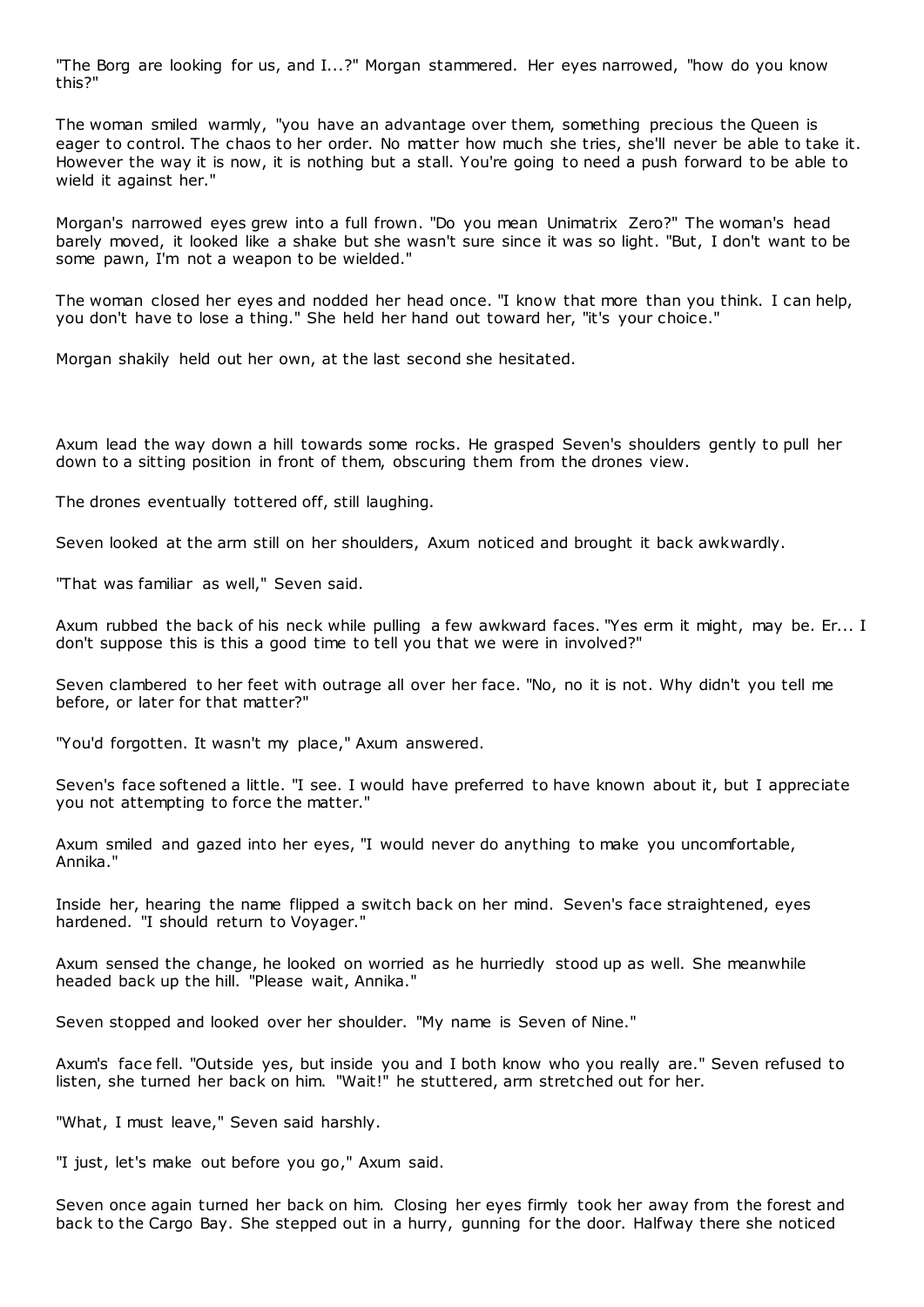"The Borg are looking for us, and I...?" Morgan stammered. Her eyes narrowed, "how do you know this?"

The woman smiled warmly, "you have an advantage over them, something precious the Queen is eager to control. The chaos to her order. No matter how much she tries, she'll never be able to take it. However the way it is now, it is nothing but a stall. You're going to need a push forward to be able to wield it against her."

Morgan's narrowed eyes grew into a full frown. "Do you mean Unimatrix Zero?" The woman's head barely moved, it looked like a shake but she wasn't sure since it was so light. "But, I don't want to be some pawn, I'm not a weapon to be wielded."

The woman closed her eyes and nodded her head once. "I know that more than you think. I can help, you don't have to lose a thing." She held her hand out toward her, "it's your choice."

Morgan shakily held out her own, at the last second she hesitated.

Axum lead the way down a hill towards some rocks. He grasped Seven's shoulders gently to pull her down to a sitting position in front of them, obscuring them from the drones view.

The drones eventually tottered off, still laughing.

Seven looked at the arm still on her shoulders, Axum noticed and brought it back awkwardly.

"That was familiar as well," Seven said.

Axum rubbed the back of his neck while pulling a few awkward faces. "Yes erm it might, may be. Er... I don't suppose this is this a good time to tell you that we were in involved?"

Seven clambered to her feet with outrage all over her face. "No, no it is not. Why didn't you tell me before, or later for that matter?"

"You'd forgotten. It wasn't my place," Axum answered.

Seven's face softened a little. "I see. I would have preferred to have known about it, but I appreciate you not attempting to force the matter."

Axum smiled and gazed into her eyes, "I would never do anything to make you uncomfortable, Annika."

Inside her, hearing the name flipped a switch back on her mind. Seven's face straightened, eyes hardened. "I should return to Voyager."

Axum sensed the change, he looked on worried as he hurriedly stood up as well. She meanwhile headed back up the hill. "Please wait, Annika."

Seven stopped and looked over her shoulder. "My name is Seven of Nine."

Axum's face fell. "Outside yes, but inside you and I both know who you really are." Seven refused to listen, she turned her back on him. "Wait!" he stuttered, arm stretched out for her.

"What, I must leave," Seven said harshly.

"I just, let's make out before you go," Axum said.

Seven once again turned her back on him. Closing her eyes firmly took her away from the forest and back to the Cargo Bay. She stepped out in a hurry, gunning for the door. Halfway there she noticed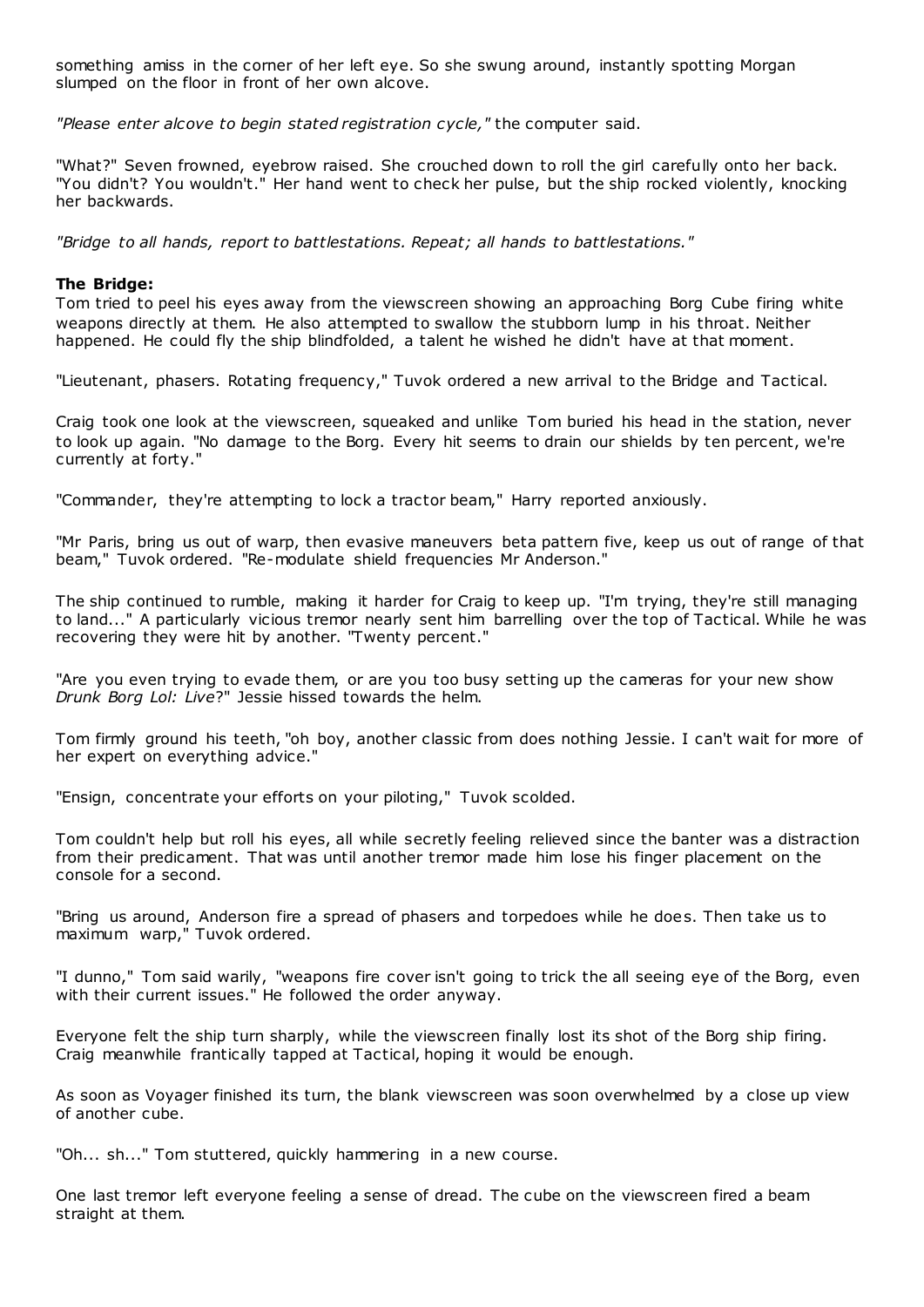something amiss in the corner of her left eye. So she swung around, instantly spotting Morgan slumped on the floor in front of her own alcove.

*"Please enter alcove to begin stated registration cycle,"* the computer said.

"What?" Seven frowned, eyebrow raised. She crouched down to roll the girl carefully onto her back. "You didn't? You wouldn't." Her hand went to check her pulse, but the ship rocked violently, knocking her backwards.

*"Bridge to all hands, report to battlestations. Repeat; all hands to battlestations."*

## **The Bridge:**

Tom tried to peel his eyes away from the viewscreen showing an approaching Borg Cube firing white weapons directly at them. He also attempted to swallow the stubborn lump in his throat. Neither happened. He could fly the ship blindfolded, a talent he wished he didn't have at that moment.

"Lieutenant, phasers. Rotating frequency," Tuvok ordered a new arrival to the Bridge and Tactical.

Craig took one look at the viewscreen, squeaked and unlike Tom buried his head in the station, never to look up again. "No damage to the Borg. Every hit seems to drain our shields by ten percent, we're currently at forty."

"Commander, they're attempting to lock a tractor beam," Harry reported anxiously.

"Mr Paris, bring us out of warp, then evasive maneuvers beta pattern five, keep us out of range of that beam," Tuvok ordered. "Re-modulate shield frequencies Mr Anderson."

The ship continued to rumble, making it harder for Craig to keep up. "I'm trying, they're still managing to land..." A particularly vicious tremor nearly sent him barrelling over the top of Tactical. While he was recovering they were hit by another. "Twenty percent."

"Are you even trying to evade them, or are you too busy setting up the cameras for your new show *Drunk Borg Lol: Live*?" Jessie hissed towards the helm.

Tom firmly ground his teeth, "oh boy, another classic from does nothing Jessie. I can't wait for more of her expert on everything advice."

"Ensign, concentrate your efforts on your piloting," Tuvok scolded.

Tom couldn't help but roll his eyes, all while secretly feeling relieved since the banter was a distraction from their predicament. That was until another tremor made him lose his finger placement on the console for a second.

"Bring us around, Anderson fire a spread of phasers and torpedoes while he does. Then take us to maximum warp," Tuvok ordered.

"I dunno," Tom said warily, "weapons fire cover isn't going to trick the all seeing eye of the Borg, even with their current issues." He followed the order anyway.

Everyone felt the ship turn sharply, while the viewscreen finally lost its shot of the Borg ship firing. Craig meanwhile frantically tapped at Tactical, hoping it would be enough.

As soon as Voyager finished its turn, the blank viewscreen was soon overwhelmed by a close up view of another cube.

"Oh... sh..." Tom stuttered, quickly hammering in a new course.

One last tremor left everyone feeling a sense of dread. The cube on the viewscreen fired a beam straight at them.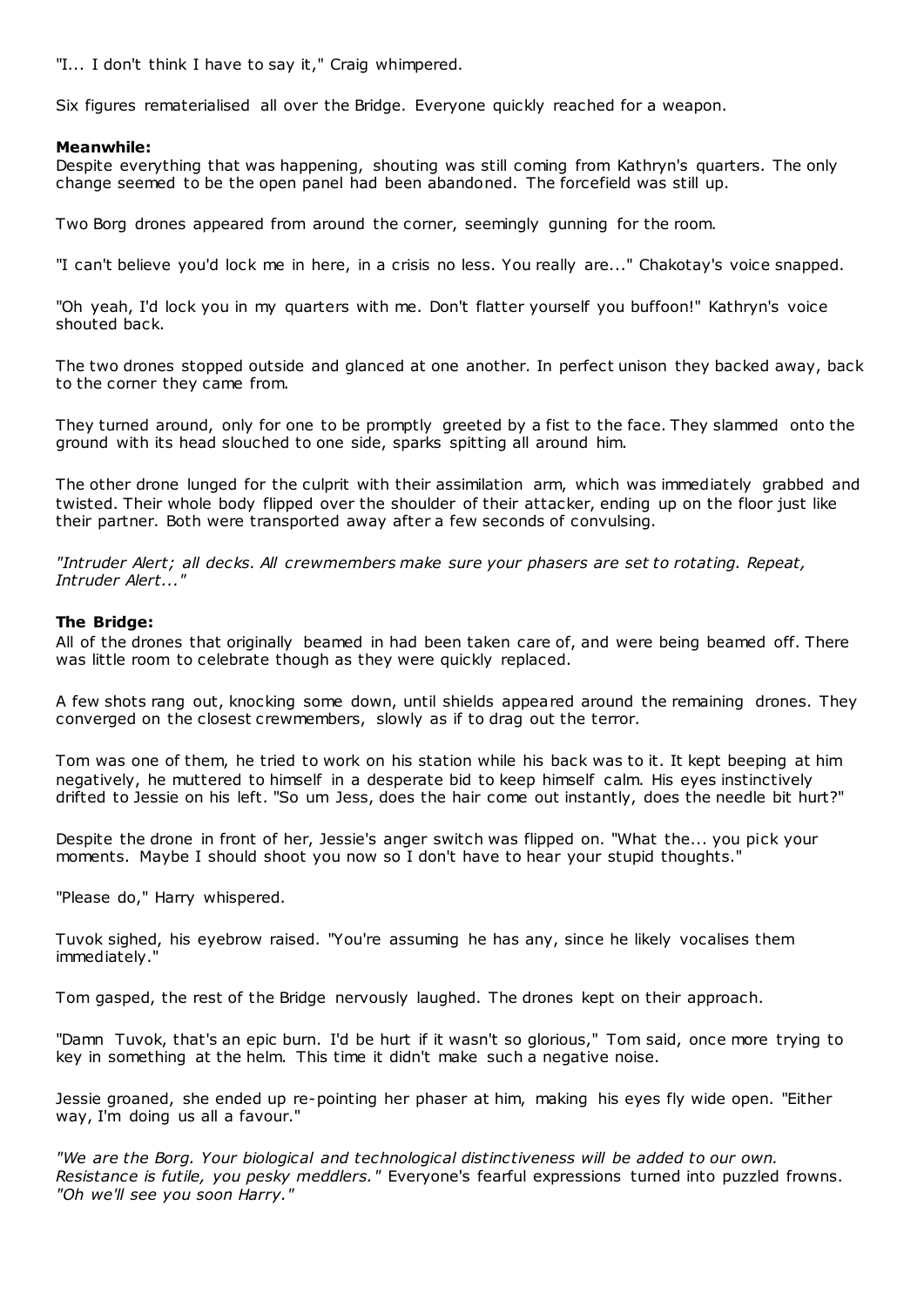"I... I don't think I have to say it," Craig whimpered.

Six figures rematerialised all over the Bridge. Everyone quickly reached for a weapon.

## **Meanwhile:**

Despite everything that was happening, shouting was still coming from Kathryn's quarters. The only change seemed to be the open panel had been abandoned. The forcefield was still up.

Two Borg drones appeared from around the corner, seemingly gunning for the room.

"I can't believe you'd lock me in here, in a crisis no less. You really are..." Chakotay's voice snapped.

"Oh yeah, I'd lock you in my quarters with me. Don't flatter yourself you buffoon!" Kathryn's voice shouted back.

The two drones stopped outside and glanced at one another. In perfect unison they backed away, back to the corner they came from.

They turned around, only for one to be promptly greeted by a fist to the face. They slammed onto the ground with its head slouched to one side, sparks spitting all around him.

The other drone lunged for the culprit with their assimilation arm, which was immediately grabbed and twisted. Their whole body flipped over the shoulder of their attacker, ending up on the floor just like their partner. Both were transported away after a few seconds of convulsing.

*"Intruder Alert; all decks. All crewmembers make sure your phasers are set to rotating. Repeat, Intruder Alert..."*

# **The Bridge:**

All of the drones that originally beamed in had been taken care of, and were being beamed off. There was little room to celebrate though as they were quickly replaced.

A few shots rang out, knocking some down, until shields appeared around the remaining drones. They converged on the closest crewmembers, slowly as if to drag out the terror.

Tom was one of them, he tried to work on his station while his back was to it. It kept beeping at him negatively, he muttered to himself in a desperate bid to keep himself calm. His eyes instinctively drifted to Jessie on his left. "So um Jess, does the hair come out instantly, does the needle bit hurt?"

Despite the drone in front of her, Jessie's anger switch was flipped on. "What the... you pick your moments. Maybe I should shoot you now so I don't have to hear your stupid thoughts."

"Please do," Harry whispered.

Tuvok sighed, his eyebrow raised. "You're assuming he has any, since he likely vocalises them immediately."

Tom gasped, the rest of the Bridge nervously laughed. The drones kept on their approach.

"Damn Tuvok, that's an epic burn. I'd be hurt if it wasn't so glorious," Tom said, once more trying to key in something at the helm. This time it didn't make such a negative noise.

Jessie groaned, she ended up re-pointing her phaser at him, making his eyes fly wide open. "Either way, I'm doing us all a favour."

*"We are the Borg. Your biological and technological distinctiveness will be added to our own. Resistance is futile, you pesky meddlers."* Everyone's fearful expressions turned into puzzled frowns. *"Oh we'll see you soon Harry."*